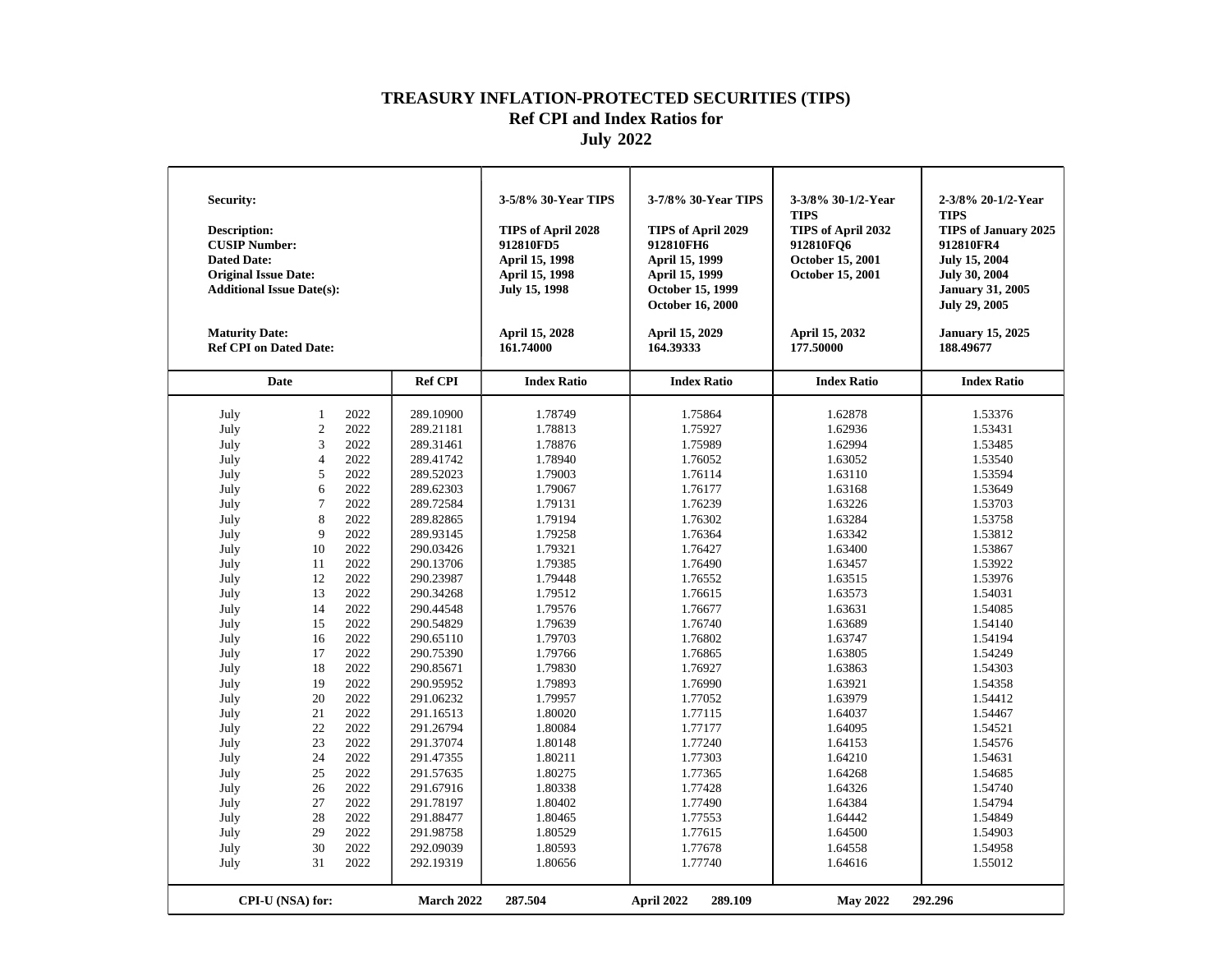| <b>Security:</b><br>Description:<br><b>CUSIP Number:</b><br><b>Dated Date:</b><br><b>Original Issue Date:</b><br><b>Additional Issue Date(s):</b><br><b>Maturity Date:</b><br><b>Ref CPI on Dated Date:</b> |                  |      |                | 3-5/8% 30-Year TIPS<br>TIPS of April 2028<br>912810FD5<br>April 15, 1998<br>April 15, 1998<br>July 15, 1998<br>April 15, 2028<br>161.74000 | 3-7/8% 30-Year TIPS<br>TIPS of April 2029<br>912810FH6<br>April 15, 1999<br>April 15, 1999<br><b>October 15, 1999</b><br><b>October 16, 2000</b><br>April 15, 2029<br>164.39333 | 3-3/8% 30-1/2-Year<br><b>TIPS</b><br>TIPS of April 2032<br>912810FQ6<br>October 15, 2001<br>October 15, 2001<br>April 15, 2032<br>177.50000 | 2-3/8% 20-1/2-Year<br><b>TIPS</b><br>TIPS of January 2025<br>912810FR4<br>July 15, 2004<br><b>July 30, 2004</b><br><b>January 31, 2005</b><br><b>July 29, 2005</b><br><b>January 15, 2025</b><br>188.49677 |
|-------------------------------------------------------------------------------------------------------------------------------------------------------------------------------------------------------------|------------------|------|----------------|--------------------------------------------------------------------------------------------------------------------------------------------|---------------------------------------------------------------------------------------------------------------------------------------------------------------------------------|---------------------------------------------------------------------------------------------------------------------------------------------|------------------------------------------------------------------------------------------------------------------------------------------------------------------------------------------------------------|
|                                                                                                                                                                                                             | Date             |      | <b>Ref CPI</b> | <b>Index Ratio</b>                                                                                                                         | <b>Index Ratio</b>                                                                                                                                                              | <b>Index Ratio</b>                                                                                                                          | <b>Index Ratio</b>                                                                                                                                                                                         |
| July                                                                                                                                                                                                        | 1                | 2022 | 289.10900      | 1.78749                                                                                                                                    | 1.75864                                                                                                                                                                         | 1.62878                                                                                                                                     | 1.53376                                                                                                                                                                                                    |
| July                                                                                                                                                                                                        | $\sqrt{2}$       | 2022 | 289.21181      | 1.78813                                                                                                                                    | 1.75927                                                                                                                                                                         | 1.62936                                                                                                                                     | 1.53431                                                                                                                                                                                                    |
| July                                                                                                                                                                                                        | 3                | 2022 | 289.31461      | 1.78876                                                                                                                                    | 1.75989                                                                                                                                                                         | 1.62994                                                                                                                                     | 1.53485                                                                                                                                                                                                    |
| July                                                                                                                                                                                                        | $\overline{4}$   | 2022 | 289.41742      | 1.78940                                                                                                                                    | 1.76052                                                                                                                                                                         | 1.63052                                                                                                                                     | 1.53540                                                                                                                                                                                                    |
| July                                                                                                                                                                                                        | 5                | 2022 | 289.52023      | 1.79003                                                                                                                                    | 1.76114                                                                                                                                                                         | 1.63110                                                                                                                                     | 1.53594                                                                                                                                                                                                    |
| July                                                                                                                                                                                                        | 6                | 2022 | 289.62303      | 1.79067                                                                                                                                    | 1.76177                                                                                                                                                                         | 1.63168                                                                                                                                     | 1.53649                                                                                                                                                                                                    |
| July                                                                                                                                                                                                        | $\tau$           | 2022 | 289.72584      | 1.79131                                                                                                                                    | 1.76239                                                                                                                                                                         | 1.63226                                                                                                                                     | 1.53703                                                                                                                                                                                                    |
| July                                                                                                                                                                                                        | 8                | 2022 | 289.82865      | 1.79194                                                                                                                                    | 1.76302                                                                                                                                                                         | 1.63284                                                                                                                                     | 1.53758                                                                                                                                                                                                    |
| July                                                                                                                                                                                                        | 9                | 2022 | 289.93145      | 1.79258                                                                                                                                    | 1.76364                                                                                                                                                                         | 1.63342                                                                                                                                     | 1.53812                                                                                                                                                                                                    |
| July                                                                                                                                                                                                        | 10               | 2022 | 290.03426      | 1.79321                                                                                                                                    | 1.76427                                                                                                                                                                         | 1.63400                                                                                                                                     | 1.53867                                                                                                                                                                                                    |
| July                                                                                                                                                                                                        | 11               | 2022 | 290.13706      | 1.79385                                                                                                                                    | 1.76490                                                                                                                                                                         | 1.63457                                                                                                                                     | 1.53922                                                                                                                                                                                                    |
| July                                                                                                                                                                                                        | 12               | 2022 | 290.23987      | 1.79448                                                                                                                                    | 1.76552                                                                                                                                                                         | 1.63515                                                                                                                                     | 1.53976                                                                                                                                                                                                    |
| July                                                                                                                                                                                                        | 13               | 2022 | 290.34268      | 1.79512                                                                                                                                    | 1.76615                                                                                                                                                                         | 1.63573                                                                                                                                     | 1.54031                                                                                                                                                                                                    |
| July                                                                                                                                                                                                        | 14               | 2022 | 290.44548      | 1.79576                                                                                                                                    | 1.76677                                                                                                                                                                         | 1.63631                                                                                                                                     | 1.54085                                                                                                                                                                                                    |
| July                                                                                                                                                                                                        | 15               | 2022 | 290.54829      | 1.79639                                                                                                                                    | 1.76740                                                                                                                                                                         | 1.63689                                                                                                                                     | 1.54140                                                                                                                                                                                                    |
| July                                                                                                                                                                                                        | 16               | 2022 | 290.65110      | 1.79703                                                                                                                                    | 1.76802                                                                                                                                                                         | 1.63747                                                                                                                                     | 1.54194                                                                                                                                                                                                    |
| July                                                                                                                                                                                                        | 17               | 2022 | 290.75390      | 1.79766                                                                                                                                    | 1.76865                                                                                                                                                                         | 1.63805                                                                                                                                     | 1.54249                                                                                                                                                                                                    |
| July                                                                                                                                                                                                        | 18               | 2022 | 290.85671      | 1.79830                                                                                                                                    | 1.76927                                                                                                                                                                         | 1.63863                                                                                                                                     | 1.54303                                                                                                                                                                                                    |
| July                                                                                                                                                                                                        | 19               | 2022 | 290.95952      | 1.79893                                                                                                                                    | 1.76990                                                                                                                                                                         | 1.63921                                                                                                                                     | 1.54358                                                                                                                                                                                                    |
| July                                                                                                                                                                                                        | 20               | 2022 | 291.06232      | 1.79957                                                                                                                                    | 1.77052                                                                                                                                                                         | 1.63979                                                                                                                                     | 1.54412                                                                                                                                                                                                    |
| July                                                                                                                                                                                                        | 21               | 2022 | 291.16513      | 1.80020                                                                                                                                    | 1.77115                                                                                                                                                                         | 1.64037                                                                                                                                     | 1.54467                                                                                                                                                                                                    |
| July                                                                                                                                                                                                        | 22               | 2022 | 291.26794      | 1.80084                                                                                                                                    | 1.77177                                                                                                                                                                         | 1.64095                                                                                                                                     | 1.54521                                                                                                                                                                                                    |
| July                                                                                                                                                                                                        | 23               | 2022 | 291.37074      | 1.80148                                                                                                                                    | 1.77240                                                                                                                                                                         | 1.64153                                                                                                                                     | 1.54576                                                                                                                                                                                                    |
| July                                                                                                                                                                                                        | 24               | 2022 | 291.47355      | 1.80211                                                                                                                                    | 1.77303                                                                                                                                                                         | 1.64210                                                                                                                                     | 1.54631                                                                                                                                                                                                    |
| July                                                                                                                                                                                                        | 25               | 2022 | 291.57635      | 1.80275                                                                                                                                    | 1.77365                                                                                                                                                                         | 1.64268                                                                                                                                     | 1.54685                                                                                                                                                                                                    |
| July                                                                                                                                                                                                        | 26               | 2022 | 291.67916      | 1.80338                                                                                                                                    | 1.77428                                                                                                                                                                         | 1.64326                                                                                                                                     | 1.54740                                                                                                                                                                                                    |
| July                                                                                                                                                                                                        | 27               | 2022 | 291.78197      | 1.80402                                                                                                                                    | 1.77490                                                                                                                                                                         | 1.64384                                                                                                                                     | 1.54794                                                                                                                                                                                                    |
| July                                                                                                                                                                                                        | 28               | 2022 | 291.88477      | 1.80465                                                                                                                                    | 1.77553                                                                                                                                                                         | 1.64442                                                                                                                                     | 1.54849                                                                                                                                                                                                    |
| July                                                                                                                                                                                                        | 29               | 2022 | 291.98758      | 1.80529                                                                                                                                    | 1.77615                                                                                                                                                                         | 1.64500                                                                                                                                     | 1.54903                                                                                                                                                                                                    |
| July                                                                                                                                                                                                        | 30               | 2022 | 292.09039      | 1.80593                                                                                                                                    | 1.77678                                                                                                                                                                         | 1.64558                                                                                                                                     | 1.54958                                                                                                                                                                                                    |
| July                                                                                                                                                                                                        | 31               | 2022 | 292.19319      | 1.80656                                                                                                                                    | 1.77740                                                                                                                                                                         | 1.64616                                                                                                                                     | 1.55012                                                                                                                                                                                                    |
|                                                                                                                                                                                                             | CPI-U (NSA) for: |      | March 2022     | 287.504                                                                                                                                    | April 2022<br>289.109                                                                                                                                                           | <b>May 2022</b>                                                                                                                             | 292.296                                                                                                                                                                                                    |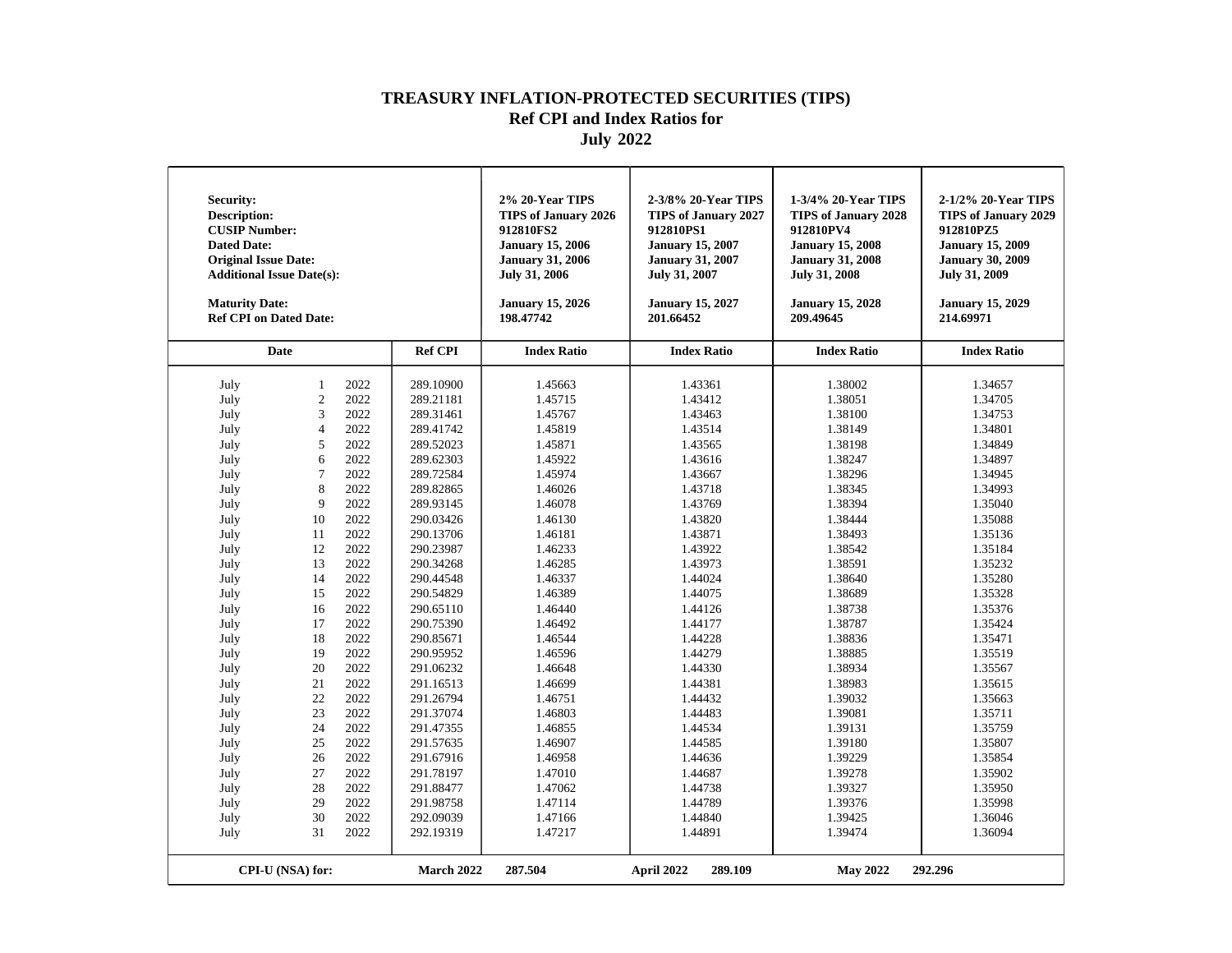| <b>Security:</b><br><b>Description:</b><br><b>CUSIP Number:</b><br><b>Dated Date:</b><br><b>Original Issue Date:</b><br><b>Additional Issue Date(s):</b><br><b>Maturity Date:</b><br><b>Ref CPI on Dated Date:</b>                                   |                                                                                                                                                                                                              |                                                                                                                                                                                                                                                      |                                                                                                                                                                                                                                                                                                                                                                                                                 | 2% 20-Year TIPS<br>TIPS of January 2026<br>912810FS2<br><b>January 15, 2006</b><br><b>January 31, 2006</b><br>July 31, 2006<br><b>January 15, 2026</b><br>198.47742                                                                                                                                                                               | 2-3/8% 20-Year TIPS<br><b>TIPS of January 2027</b><br>912810PS1<br><b>January 15, 2007</b><br><b>January 31, 2007</b><br>July 31, 2007<br><b>January 15, 2027</b><br>201.66452                                                                                                                                                                    | 1-3/4% 20-Year TIPS<br><b>TIPS of January 2028</b><br>912810PV4<br><b>January 15, 2008</b><br><b>January 31, 2008</b><br><b>July 31, 2008</b><br><b>January 15, 2028</b><br>209.49645                                                                                                                                                             | 2-1/2% 20-Year TIPS<br><b>TIPS of January 2029</b><br>912810PZ5<br><b>January 15, 2009</b><br><b>January 30, 2009</b><br><b>July 31, 2009</b><br><b>January 15, 2029</b><br>214.69971                                                                                                                                                             |
|------------------------------------------------------------------------------------------------------------------------------------------------------------------------------------------------------------------------------------------------------|--------------------------------------------------------------------------------------------------------------------------------------------------------------------------------------------------------------|------------------------------------------------------------------------------------------------------------------------------------------------------------------------------------------------------------------------------------------------------|-----------------------------------------------------------------------------------------------------------------------------------------------------------------------------------------------------------------------------------------------------------------------------------------------------------------------------------------------------------------------------------------------------------------|---------------------------------------------------------------------------------------------------------------------------------------------------------------------------------------------------------------------------------------------------------------------------------------------------------------------------------------------------|---------------------------------------------------------------------------------------------------------------------------------------------------------------------------------------------------------------------------------------------------------------------------------------------------------------------------------------------------|---------------------------------------------------------------------------------------------------------------------------------------------------------------------------------------------------------------------------------------------------------------------------------------------------------------------------------------------------|---------------------------------------------------------------------------------------------------------------------------------------------------------------------------------------------------------------------------------------------------------------------------------------------------------------------------------------------------|
|                                                                                                                                                                                                                                                      | <b>Date</b>                                                                                                                                                                                                  |                                                                                                                                                                                                                                                      | <b>Ref CPI</b>                                                                                                                                                                                                                                                                                                                                                                                                  | <b>Index Ratio</b>                                                                                                                                                                                                                                                                                                                                | <b>Index Ratio</b>                                                                                                                                                                                                                                                                                                                                | <b>Index Ratio</b>                                                                                                                                                                                                                                                                                                                                | <b>Index Ratio</b>                                                                                                                                                                                                                                                                                                                                |
| July<br>July<br>July<br>July<br>July<br>July<br>July<br>July<br>July<br>July<br>July<br>July<br>July<br>July<br>July<br>July<br>July<br>July<br>July<br>July<br>July<br>July<br>July<br>July<br>July<br>July<br>July<br>July<br>July<br>July<br>July | 1<br>$\mathfrak{2}$<br>3<br>$\overline{4}$<br>5<br>6<br>$\tau$<br>8<br>9<br>10<br>11<br>12<br>13<br>14<br>15<br>16<br>17<br>18<br>19<br>20<br>21<br>22<br>23<br>24<br>25<br>26<br>27<br>28<br>29<br>30<br>31 | 2022<br>2022<br>2022<br>2022<br>2022<br>2022<br>2022<br>2022<br>2022<br>2022<br>2022<br>2022<br>2022<br>2022<br>2022<br>2022<br>2022<br>2022<br>2022<br>2022<br>2022<br>2022<br>2022<br>2022<br>2022<br>2022<br>2022<br>2022<br>2022<br>2022<br>2022 | 289.10900<br>289.21181<br>289.31461<br>289.41742<br>289.52023<br>289.62303<br>289.72584<br>289.82865<br>289.93145<br>290.03426<br>290.13706<br>290.23987<br>290.34268<br>290.44548<br>290.54829<br>290.65110<br>290.75390<br>290.85671<br>290.95952<br>291.06232<br>291.16513<br>291.26794<br>291.37074<br>291.47355<br>291.57635<br>291.67916<br>291.78197<br>291.88477<br>291.98758<br>292.09039<br>292.19319 | 1.45663<br>1.45715<br>1.45767<br>1.45819<br>1.45871<br>1.45922<br>1.45974<br>1.46026<br>1.46078<br>1.46130<br>1.46181<br>1.46233<br>1.46285<br>1.46337<br>1.46389<br>1.46440<br>1.46492<br>1.46544<br>1.46596<br>1.46648<br>1.46699<br>1.46751<br>1.46803<br>1.46855<br>1.46907<br>1.46958<br>1.47010<br>1.47062<br>1.47114<br>1.47166<br>1.47217 | 1.43361<br>1.43412<br>1.43463<br>1.43514<br>1.43565<br>1.43616<br>1.43667<br>1.43718<br>1.43769<br>1.43820<br>1.43871<br>1.43922<br>1.43973<br>1.44024<br>1.44075<br>1.44126<br>1.44177<br>1.44228<br>1.44279<br>1.44330<br>1.44381<br>1.44432<br>1.44483<br>1.44534<br>1.44585<br>1.44636<br>1.44687<br>1.44738<br>1.44789<br>1.44840<br>1.44891 | 1.38002<br>1.38051<br>1.38100<br>1.38149<br>1.38198<br>1.38247<br>1.38296<br>1.38345<br>1.38394<br>1.38444<br>1.38493<br>1.38542<br>1.38591<br>1.38640<br>1.38689<br>1.38738<br>1.38787<br>1.38836<br>1.38885<br>1.38934<br>1.38983<br>1.39032<br>1.39081<br>1.39131<br>1.39180<br>1.39229<br>1.39278<br>1.39327<br>1.39376<br>1.39425<br>1.39474 | 1.34657<br>1.34705<br>1.34753<br>1.34801<br>1.34849<br>1.34897<br>1.34945<br>1.34993<br>1.35040<br>1.35088<br>1.35136<br>1.35184<br>1.35232<br>1.35280<br>1.35328<br>1.35376<br>1.35424<br>1.35471<br>1.35519<br>1.35567<br>1.35615<br>1.35663<br>1.35711<br>1.35759<br>1.35807<br>1.35854<br>1.35902<br>1.35950<br>1.35998<br>1.36046<br>1.36094 |
|                                                                                                                                                                                                                                                      | CPI-U (NSA) for:                                                                                                                                                                                             |                                                                                                                                                                                                                                                      | March 2022                                                                                                                                                                                                                                                                                                                                                                                                      | 287.504                                                                                                                                                                                                                                                                                                                                           | April 2022<br>289.109                                                                                                                                                                                                                                                                                                                             | <b>May 2022</b>                                                                                                                                                                                                                                                                                                                                   | 292.296                                                                                                                                                                                                                                                                                                                                           |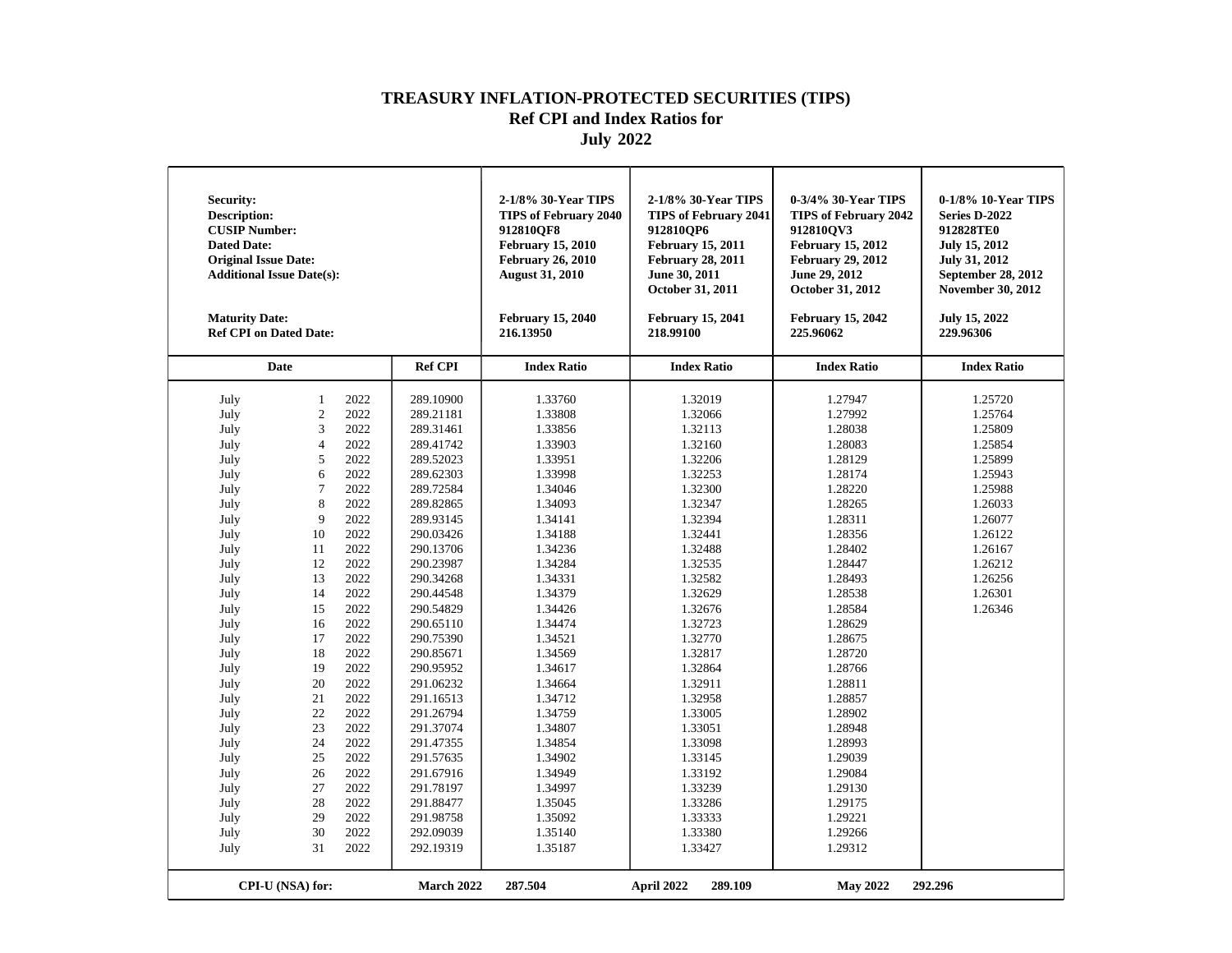| Security:<br><b>Description:</b><br><b>CUSIP Number:</b><br><b>Dated Date:</b><br><b>Original Issue Date:</b><br><b>Additional Issue Date(s):</b><br><b>Maturity Date:</b><br><b>Ref CPI on Dated Date:</b>                                          |                                                                                                                                                                                                                                 |                                                                                                                                                                                                                                                      |                                                                                                                                                                                                                                                                                                                                                                                                                 | 2-1/8% 30-Year TIPS<br><b>TIPS of February 2040</b><br>912810OF8<br><b>February 15, 2010</b><br><b>February 26, 2010</b><br><b>August 31, 2010</b><br><b>February 15, 2040</b><br>216.13950                                                                                                                                                       | 2-1/8% 30-Year TIPS<br><b>TIPS of February 2041</b><br>912810OP6<br><b>February 15, 2011</b><br><b>February 28, 2011</b><br>June 30, 2011<br>October 31, 2011<br><b>February 15, 2041</b><br>218.99100                                                                                                                                            | 0-3/4% 30-Year TIPS<br><b>TIPS of February 2042</b><br>912810OV3<br><b>February 15, 2012</b><br><b>February 29, 2012</b><br>June 29, 2012<br>October 31, 2012<br><b>February 15, 2042</b><br>225.96062                                                                                                                                            | 0-1/8% 10-Year TIPS<br>Series D-2022<br>912828TE0<br><b>July 15, 2012</b><br><b>July 31, 2012</b><br>September 28, 2012<br><b>November 30, 2012</b><br>July 15, 2022<br>229.96306 |
|------------------------------------------------------------------------------------------------------------------------------------------------------------------------------------------------------------------------------------------------------|---------------------------------------------------------------------------------------------------------------------------------------------------------------------------------------------------------------------------------|------------------------------------------------------------------------------------------------------------------------------------------------------------------------------------------------------------------------------------------------------|-----------------------------------------------------------------------------------------------------------------------------------------------------------------------------------------------------------------------------------------------------------------------------------------------------------------------------------------------------------------------------------------------------------------|---------------------------------------------------------------------------------------------------------------------------------------------------------------------------------------------------------------------------------------------------------------------------------------------------------------------------------------------------|---------------------------------------------------------------------------------------------------------------------------------------------------------------------------------------------------------------------------------------------------------------------------------------------------------------------------------------------------|---------------------------------------------------------------------------------------------------------------------------------------------------------------------------------------------------------------------------------------------------------------------------------------------------------------------------------------------------|-----------------------------------------------------------------------------------------------------------------------------------------------------------------------------------|
|                                                                                                                                                                                                                                                      | <b>Date</b>                                                                                                                                                                                                                     |                                                                                                                                                                                                                                                      | <b>Ref CPI</b>                                                                                                                                                                                                                                                                                                                                                                                                  | <b>Index Ratio</b>                                                                                                                                                                                                                                                                                                                                | <b>Index Ratio</b>                                                                                                                                                                                                                                                                                                                                | <b>Index Ratio</b>                                                                                                                                                                                                                                                                                                                                | <b>Index Ratio</b>                                                                                                                                                                |
| July<br>July<br>July<br>July<br>July<br>July<br>July<br>July<br>July<br>July<br>July<br>July<br>July<br>July<br>July<br>July<br>July<br>July<br>July<br>July<br>July<br>July<br>July<br>July<br>July<br>July<br>July<br>July<br>July<br>July<br>July | $\mathbf{1}$<br>$\overline{c}$<br>3<br>$\overline{4}$<br>5<br>6<br>$\overline{7}$<br>8<br>9<br>10<br>11<br>12<br>13<br>14<br>15<br>16<br>17<br>18<br>19<br>20<br>21<br>22<br>23<br>24<br>25<br>26<br>27<br>28<br>29<br>30<br>31 | 2022<br>2022<br>2022<br>2022<br>2022<br>2022<br>2022<br>2022<br>2022<br>2022<br>2022<br>2022<br>2022<br>2022<br>2022<br>2022<br>2022<br>2022<br>2022<br>2022<br>2022<br>2022<br>2022<br>2022<br>2022<br>2022<br>2022<br>2022<br>2022<br>2022<br>2022 | 289.10900<br>289.21181<br>289.31461<br>289.41742<br>289.52023<br>289.62303<br>289.72584<br>289.82865<br>289.93145<br>290.03426<br>290.13706<br>290.23987<br>290.34268<br>290.44548<br>290.54829<br>290.65110<br>290.75390<br>290.85671<br>290.95952<br>291.06232<br>291.16513<br>291.26794<br>291.37074<br>291.47355<br>291.57635<br>291.67916<br>291.78197<br>291.88477<br>291.98758<br>292.09039<br>292.19319 | 1.33760<br>1.33808<br>1.33856<br>1.33903<br>1.33951<br>1.33998<br>1.34046<br>1.34093<br>1.34141<br>1.34188<br>1.34236<br>1.34284<br>1.34331<br>1.34379<br>1.34426<br>1.34474<br>1.34521<br>1.34569<br>1.34617<br>1.34664<br>1.34712<br>1.34759<br>1.34807<br>1.34854<br>1.34902<br>1.34949<br>1.34997<br>1.35045<br>1.35092<br>1.35140<br>1.35187 | 1.32019<br>1.32066<br>1.32113<br>1.32160<br>1.32206<br>1.32253<br>1.32300<br>1.32347<br>1.32394<br>1.32441<br>1.32488<br>1.32535<br>1.32582<br>1.32629<br>1.32676<br>1.32723<br>1.32770<br>1.32817<br>1.32864<br>1.32911<br>1.32958<br>1.33005<br>1.33051<br>1.33098<br>1.33145<br>1.33192<br>1.33239<br>1.33286<br>1.33333<br>1.33380<br>1.33427 | 1.27947<br>1.27992<br>1.28038<br>1.28083<br>1.28129<br>1.28174<br>1.28220<br>1.28265<br>1.28311<br>1.28356<br>1.28402<br>1.28447<br>1.28493<br>1.28538<br>1.28584<br>1.28629<br>1.28675<br>1.28720<br>1.28766<br>1.28811<br>1.28857<br>1.28902<br>1.28948<br>1.28993<br>1.29039<br>1.29084<br>1.29130<br>1.29175<br>1.29221<br>1.29266<br>1.29312 | 1.25720<br>1.25764<br>1.25809<br>1.25854<br>1.25899<br>1.25943<br>1.25988<br>1.26033<br>1.26077<br>1.26122<br>1.26167<br>1.26212<br>1.26256<br>1.26301<br>1.26346                 |
|                                                                                                                                                                                                                                                      | CPI-U (NSA) for:                                                                                                                                                                                                                |                                                                                                                                                                                                                                                      | <b>March 2022</b>                                                                                                                                                                                                                                                                                                                                                                                               | 287.504                                                                                                                                                                                                                                                                                                                                           | April 2022<br>289.109                                                                                                                                                                                                                                                                                                                             | <b>May 2022</b>                                                                                                                                                                                                                                                                                                                                   | 292.296                                                                                                                                                                           |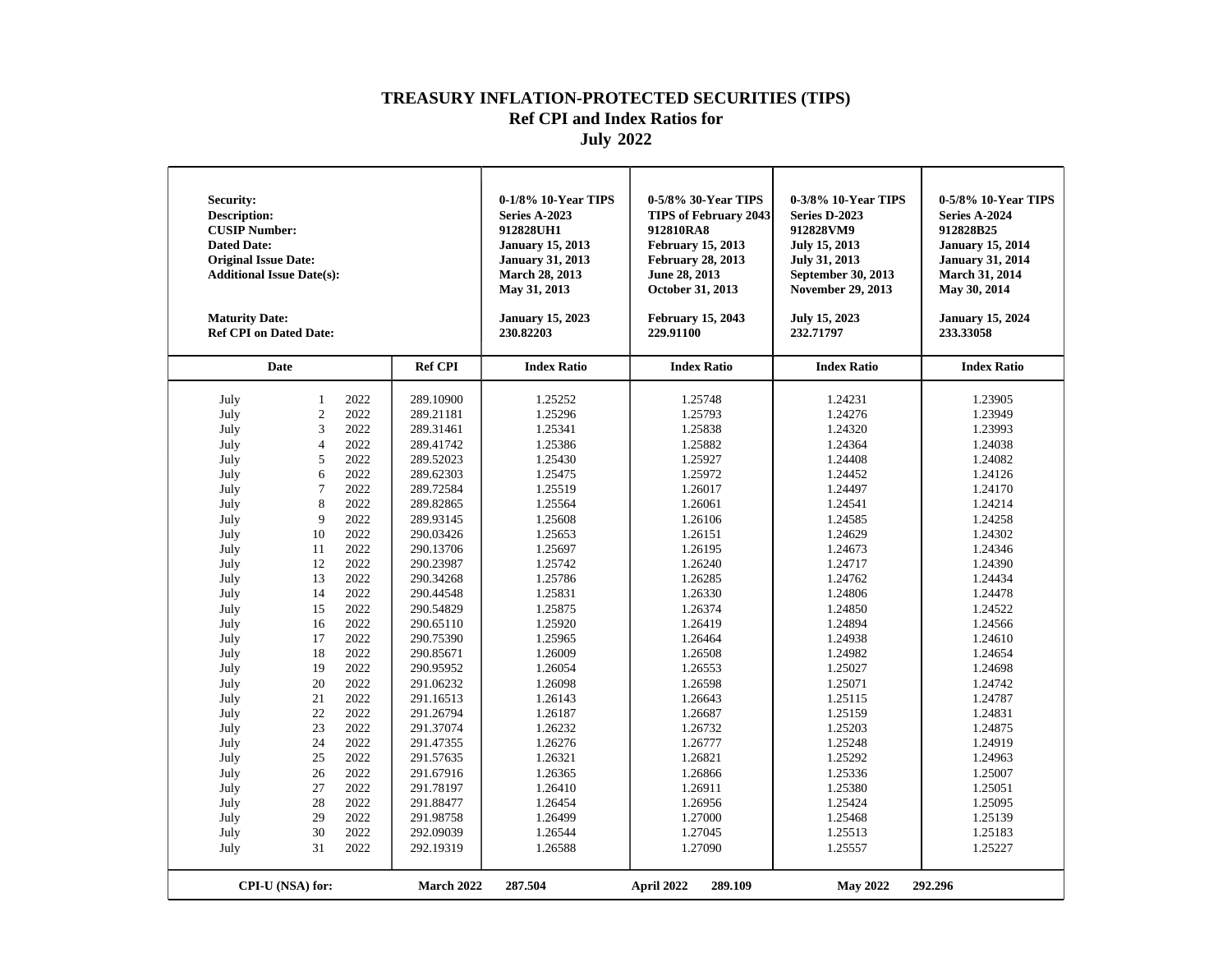| Security:<br><b>Description:</b><br><b>CUSIP Number:</b><br><b>Dated Date:</b><br><b>Original Issue Date:</b><br><b>Additional Issue Date(s):</b><br><b>Maturity Date:</b><br><b>Ref CPI on Dated Date:</b>                                          |                                                                                                                                                                                                                                 |                                                                                                                                                                                                                                                      |                                                                                                                                                                                                                                                                                                                                                                                                                 | 0-1/8% 10-Year TIPS<br><b>Series A-2023</b><br>912828UH1<br><b>January 15, 2013</b><br><b>January 31, 2013</b><br><b>March 28, 2013</b><br>May 31, 2013<br><b>January 15, 2023</b><br>230.82203                                                                                                                                                   | 0-5/8% 30-Year TIPS<br><b>TIPS of February 2043</b><br>912810RA8<br><b>February 15, 2013</b><br><b>February 28, 2013</b><br>June 28, 2013<br>October 31, 2013<br><b>February 15, 2043</b><br>229.91100                                                                                                                                            | 0-3/8% 10-Year TIPS<br>Series D-2023<br>912828VM9<br>July 15, 2013<br><b>July 31, 2013</b><br>September 30, 2013<br><b>November 29, 2013</b><br>July 15, 2023<br>232.71797                                                                                                                                                                        | 0-5/8% 10-Year TIPS<br>Series A-2024<br>912828B25<br><b>January 15, 2014</b><br><b>January 31, 2014</b><br><b>March 31, 2014</b><br>May 30, 2014<br><b>January 15, 2024</b><br>233.33058                                                                                                                                                          |
|------------------------------------------------------------------------------------------------------------------------------------------------------------------------------------------------------------------------------------------------------|---------------------------------------------------------------------------------------------------------------------------------------------------------------------------------------------------------------------------------|------------------------------------------------------------------------------------------------------------------------------------------------------------------------------------------------------------------------------------------------------|-----------------------------------------------------------------------------------------------------------------------------------------------------------------------------------------------------------------------------------------------------------------------------------------------------------------------------------------------------------------------------------------------------------------|---------------------------------------------------------------------------------------------------------------------------------------------------------------------------------------------------------------------------------------------------------------------------------------------------------------------------------------------------|---------------------------------------------------------------------------------------------------------------------------------------------------------------------------------------------------------------------------------------------------------------------------------------------------------------------------------------------------|---------------------------------------------------------------------------------------------------------------------------------------------------------------------------------------------------------------------------------------------------------------------------------------------------------------------------------------------------|---------------------------------------------------------------------------------------------------------------------------------------------------------------------------------------------------------------------------------------------------------------------------------------------------------------------------------------------------|
|                                                                                                                                                                                                                                                      | <b>Date</b>                                                                                                                                                                                                                     |                                                                                                                                                                                                                                                      | <b>Ref CPI</b>                                                                                                                                                                                                                                                                                                                                                                                                  | <b>Index Ratio</b>                                                                                                                                                                                                                                                                                                                                | <b>Index Ratio</b>                                                                                                                                                                                                                                                                                                                                | <b>Index Ratio</b>                                                                                                                                                                                                                                                                                                                                | <b>Index Ratio</b>                                                                                                                                                                                                                                                                                                                                |
| July<br>July<br>July<br>July<br>July<br>July<br>July<br>July<br>July<br>July<br>July<br>July<br>July<br>July<br>July<br>July<br>July<br>July<br>July<br>July<br>July<br>July<br>July<br>July<br>July<br>July<br>July<br>July<br>July<br>July<br>July | $\mathbf{1}$<br>$\overline{c}$<br>3<br>$\overline{4}$<br>5<br>6<br>$\overline{7}$<br>8<br>9<br>10<br>11<br>12<br>13<br>14<br>15<br>16<br>17<br>18<br>19<br>20<br>21<br>22<br>23<br>24<br>25<br>26<br>27<br>28<br>29<br>30<br>31 | 2022<br>2022<br>2022<br>2022<br>2022<br>2022<br>2022<br>2022<br>2022<br>2022<br>2022<br>2022<br>2022<br>2022<br>2022<br>2022<br>2022<br>2022<br>2022<br>2022<br>2022<br>2022<br>2022<br>2022<br>2022<br>2022<br>2022<br>2022<br>2022<br>2022<br>2022 | 289.10900<br>289.21181<br>289.31461<br>289.41742<br>289.52023<br>289.62303<br>289.72584<br>289.82865<br>289.93145<br>290.03426<br>290.13706<br>290.23987<br>290.34268<br>290.44548<br>290.54829<br>290.65110<br>290.75390<br>290.85671<br>290.95952<br>291.06232<br>291.16513<br>291.26794<br>291.37074<br>291.47355<br>291.57635<br>291.67916<br>291.78197<br>291.88477<br>291.98758<br>292.09039<br>292.19319 | 1.25252<br>1.25296<br>1.25341<br>1.25386<br>1.25430<br>1.25475<br>1.25519<br>1.25564<br>1.25608<br>1.25653<br>1.25697<br>1.25742<br>1.25786<br>1.25831<br>1.25875<br>1.25920<br>1.25965<br>1.26009<br>1.26054<br>1.26098<br>1.26143<br>1.26187<br>1.26232<br>1.26276<br>1.26321<br>1.26365<br>1.26410<br>1.26454<br>1.26499<br>1.26544<br>1.26588 | 1.25748<br>1.25793<br>1.25838<br>1.25882<br>1.25927<br>1.25972<br>1.26017<br>1.26061<br>1.26106<br>1.26151<br>1.26195<br>1.26240<br>1.26285<br>1.26330<br>1.26374<br>1.26419<br>1.26464<br>1.26508<br>1.26553<br>1.26598<br>1.26643<br>1.26687<br>1.26732<br>1.26777<br>1.26821<br>1.26866<br>1.26911<br>1.26956<br>1.27000<br>1.27045<br>1.27090 | 1.24231<br>1.24276<br>1.24320<br>1.24364<br>1.24408<br>1.24452<br>1.24497<br>1.24541<br>1.24585<br>1.24629<br>1.24673<br>1.24717<br>1.24762<br>1.24806<br>1.24850<br>1.24894<br>1.24938<br>1.24982<br>1.25027<br>1.25071<br>1.25115<br>1.25159<br>1.25203<br>1.25248<br>1.25292<br>1.25336<br>1.25380<br>1.25424<br>1.25468<br>1.25513<br>1.25557 | 1.23905<br>1.23949<br>1.23993<br>1.24038<br>1.24082<br>1.24126<br>1.24170<br>1.24214<br>1.24258<br>1.24302<br>1.24346<br>1.24390<br>1.24434<br>1.24478<br>1.24522<br>1.24566<br>1.24610<br>1.24654<br>1.24698<br>1.24742<br>1.24787<br>1.24831<br>1.24875<br>1.24919<br>1.24963<br>1.25007<br>1.25051<br>1.25095<br>1.25139<br>1.25183<br>1.25227 |
|                                                                                                                                                                                                                                                      | CPI-U (NSA) for:                                                                                                                                                                                                                |                                                                                                                                                                                                                                                      | March 2022                                                                                                                                                                                                                                                                                                                                                                                                      | 287.504                                                                                                                                                                                                                                                                                                                                           | April 2022<br>289.109                                                                                                                                                                                                                                                                                                                             | <b>May 2022</b>                                                                                                                                                                                                                                                                                                                                   | 292.296                                                                                                                                                                                                                                                                                                                                           |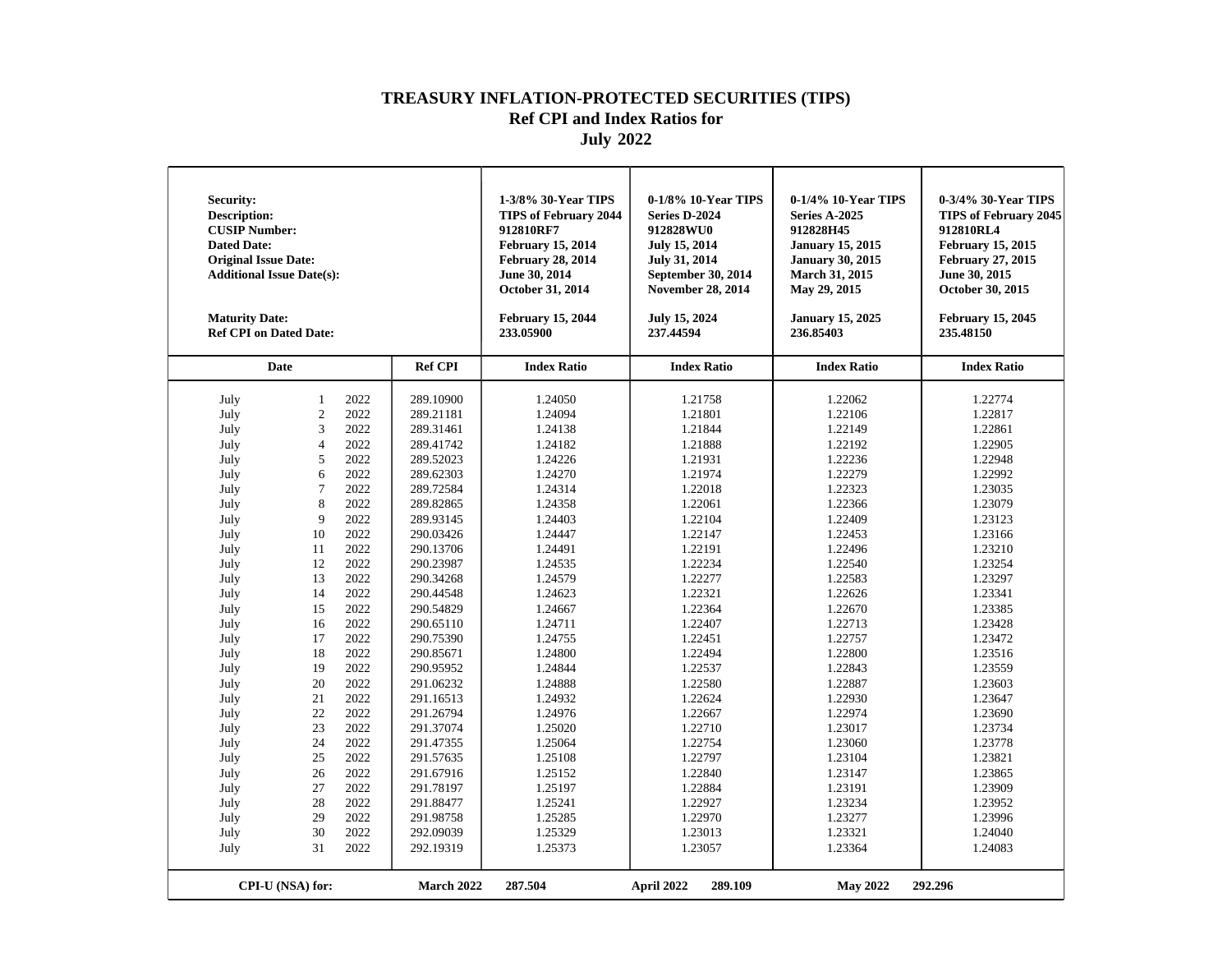| Security:<br><b>Description:</b><br><b>CUSIP Number:</b><br><b>Dated Date:</b><br><b>Original Issue Date:</b><br><b>Additional Issue Date(s):</b><br><b>Maturity Date:</b><br><b>Ref CPI on Dated Date:</b>                                                                                                                                                                                                                                                                                                                                                                                                                                                                                                               |                                                                                                                                                                                                                                                                                                                                                                                                    | 1-3/8% 30-Year TIPS<br><b>TIPS of February 2044</b><br>912810RF7<br><b>February 15, 2014</b><br><b>February 28, 2014</b><br>June 30, 2014<br>October 31, 2014<br><b>February 15, 2044</b><br>233.05900                                                                                                                                 | 0-1/8% 10-Year TIPS<br>Series D-2024<br>912828WU0<br><b>July 15, 2014</b><br><b>July 31, 2014</b><br>September 30, 2014<br><b>November 28, 2014</b><br>July 15, 2024<br>237.44594                                                                                                                                                      | 0-1/4% 10-Year TIPS<br>Series A-2025<br>912828H45<br><b>January 15, 2015</b><br><b>January 30, 2015</b><br>March 31, 2015<br>May 29, 2015<br><b>January 15, 2025</b><br>236.85403                                                                                                                                                      | 0-3/4% 30-Year TIPS<br><b>TIPS of February 2045</b><br>912810RL4<br><b>February 15, 2015</b><br><b>February 27, 2015</b><br>June 30, 2015<br>October 30, 2015<br><b>February 15, 2045</b><br>235.48150                                                                                                                                 |
|---------------------------------------------------------------------------------------------------------------------------------------------------------------------------------------------------------------------------------------------------------------------------------------------------------------------------------------------------------------------------------------------------------------------------------------------------------------------------------------------------------------------------------------------------------------------------------------------------------------------------------------------------------------------------------------------------------------------------|----------------------------------------------------------------------------------------------------------------------------------------------------------------------------------------------------------------------------------------------------------------------------------------------------------------------------------------------------------------------------------------------------|----------------------------------------------------------------------------------------------------------------------------------------------------------------------------------------------------------------------------------------------------------------------------------------------------------------------------------------|----------------------------------------------------------------------------------------------------------------------------------------------------------------------------------------------------------------------------------------------------------------------------------------------------------------------------------------|----------------------------------------------------------------------------------------------------------------------------------------------------------------------------------------------------------------------------------------------------------------------------------------------------------------------------------------|----------------------------------------------------------------------------------------------------------------------------------------------------------------------------------------------------------------------------------------------------------------------------------------------------------------------------------------|
| Date                                                                                                                                                                                                                                                                                                                                                                                                                                                                                                                                                                                                                                                                                                                      | <b>Ref CPI</b>                                                                                                                                                                                                                                                                                                                                                                                     | <b>Index Ratio</b>                                                                                                                                                                                                                                                                                                                     | <b>Index Ratio</b>                                                                                                                                                                                                                                                                                                                     | <b>Index Ratio</b>                                                                                                                                                                                                                                                                                                                     | <b>Index Ratio</b>                                                                                                                                                                                                                                                                                                                     |
| 2022<br>July<br>$\mathbf{1}$<br>$\overline{c}$<br>2022<br>July<br>3<br>2022<br>July<br>2022<br>July<br>$\overline{4}$<br>2022<br>5<br>July<br>6<br>2022<br>July<br>2022<br>July<br>$\overline{7}$<br>8<br>2022<br>July<br>2022<br>9<br>July<br>10<br>2022<br>July<br>2022<br>July<br>11<br>2022<br>12<br>July<br>2022<br>July<br>13<br>2022<br>July<br>14<br>2022<br>July<br>15<br>2022<br>July<br>16<br>2022<br>July<br>17<br>2022<br>July<br>18<br>2022<br>19<br>July<br>2022<br>July<br>20<br>2022<br>July<br>21<br>22<br>2022<br>July<br>2022<br>23<br>July<br>2022<br>July<br>24<br>2022<br>July<br>25<br>2022<br>July<br>26<br>27<br>2022<br>July<br>July<br>28<br>2022<br>2022<br>July<br>29<br>30<br>2022<br>July | 289.10900<br>289.21181<br>289.31461<br>289.41742<br>289.52023<br>289.62303<br>289.72584<br>289.82865<br>289.93145<br>290.03426<br>290.13706<br>290.23987<br>290.34268<br>290.44548<br>290.54829<br>290.65110<br>290.75390<br>290.85671<br>290.95952<br>291.06232<br>291.16513<br>291.26794<br>291.37074<br>291.47355<br>291.57635<br>291.67916<br>291.78197<br>291.88477<br>291.98758<br>292.09039 | 1.24050<br>1.24094<br>1.24138<br>1.24182<br>1.24226<br>1.24270<br>1.24314<br>1.24358<br>1.24403<br>1.24447<br>1.24491<br>1.24535<br>1.24579<br>1.24623<br>1.24667<br>1.24711<br>1.24755<br>1.24800<br>1.24844<br>1.24888<br>1.24932<br>1.24976<br>1.25020<br>1.25064<br>1.25108<br>1.25152<br>1.25197<br>1.25241<br>1.25285<br>1.25329 | 1.21758<br>1.21801<br>1.21844<br>1.21888<br>1.21931<br>1.21974<br>1.22018<br>1.22061<br>1.22104<br>1.22147<br>1.22191<br>1.22234<br>1.22277<br>1.22321<br>1.22364<br>1.22407<br>1.22451<br>1.22494<br>1.22537<br>1.22580<br>1.22624<br>1.22667<br>1.22710<br>1.22754<br>1.22797<br>1.22840<br>1.22884<br>1.22927<br>1.22970<br>1.23013 | 1.22062<br>1.22106<br>1.22149<br>1.22192<br>1.22236<br>1.22279<br>1.22323<br>1.22366<br>1.22409<br>1.22453<br>1.22496<br>1.22540<br>1.22583<br>1.22626<br>1.22670<br>1.22713<br>1.22757<br>1.22800<br>1.22843<br>1.22887<br>1.22930<br>1.22974<br>1.23017<br>1.23060<br>1.23104<br>1.23147<br>1.23191<br>1.23234<br>1.23277<br>1.23321 | 1.22774<br>1.22817<br>1.22861<br>1.22905<br>1.22948<br>1.22992<br>1.23035<br>1.23079<br>1.23123<br>1.23166<br>1.23210<br>1.23254<br>1.23297<br>1.23341<br>1.23385<br>1.23428<br>1.23472<br>1.23516<br>1.23559<br>1.23603<br>1.23647<br>1.23690<br>1.23734<br>1.23778<br>1.23821<br>1.23865<br>1.23909<br>1.23952<br>1.23996<br>1.24040 |
| 31<br>2022<br>July<br>CPI-U (NSA) for:                                                                                                                                                                                                                                                                                                                                                                                                                                                                                                                                                                                                                                                                                    | 292.19319<br>March 2022                                                                                                                                                                                                                                                                                                                                                                            | 1.25373<br>287.504                                                                                                                                                                                                                                                                                                                     | 1.23057<br>April 2022<br>289.109                                                                                                                                                                                                                                                                                                       | 1.23364<br><b>May 2022</b>                                                                                                                                                                                                                                                                                                             | 1.24083<br>292.296                                                                                                                                                                                                                                                                                                                     |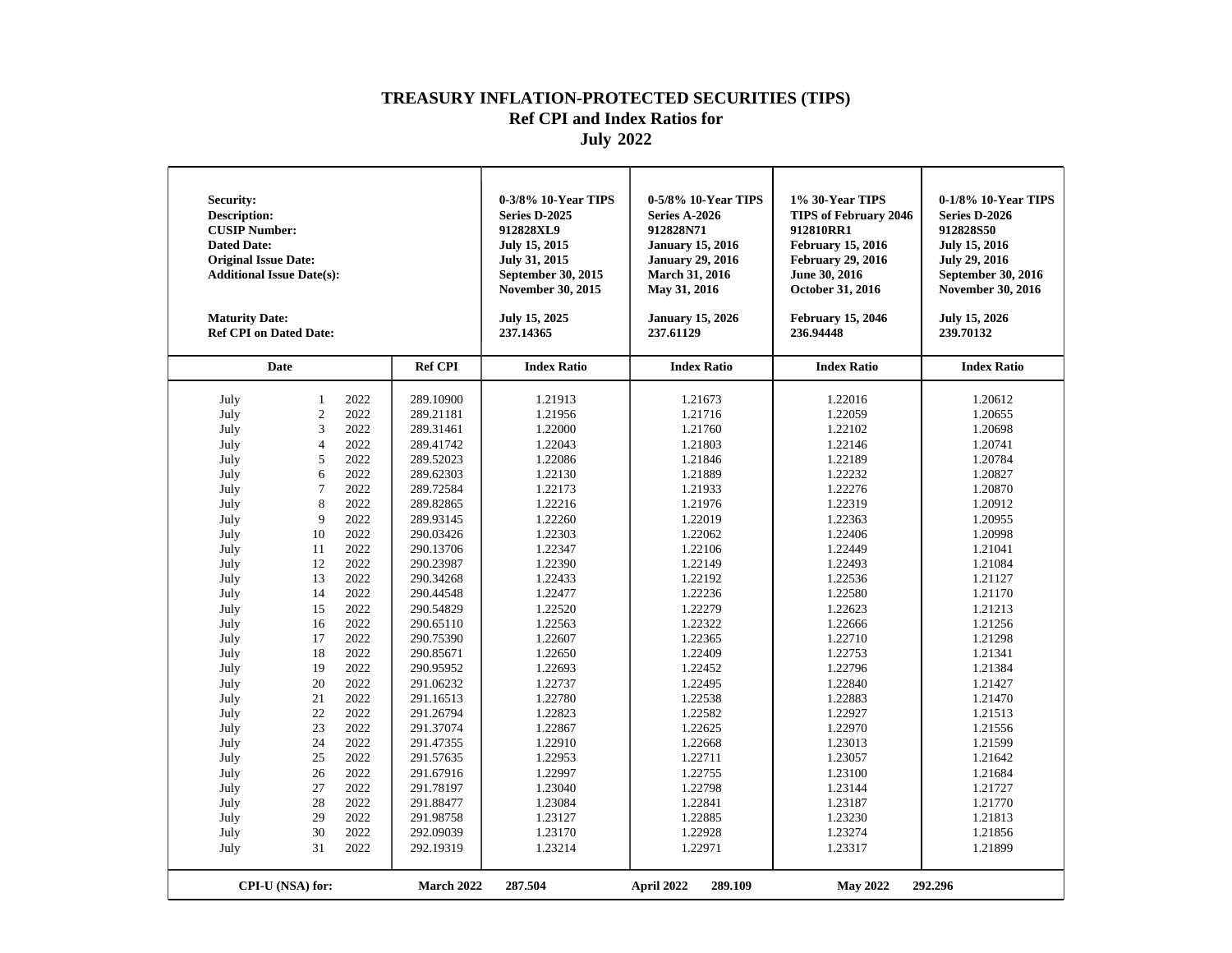| Security:<br><b>Description:</b><br><b>CUSIP Number:</b><br><b>Dated Date:</b><br><b>Original Issue Date:</b><br><b>Additional Issue Date(s):</b><br><b>Maturity Date:</b><br><b>Ref CPI on Dated Date:</b>                                          |                                                                                                                                                                                                                                 |                                                                                                                                                                                                                                                      |                                                                                                                                                                                                                                                                                                                                                                                                                 | 0-3/8% 10-Year TIPS<br>Series D-2025<br>912828XL9<br>July 15, 2015<br>July 31, 2015<br>September 30, 2015<br><b>November 30, 2015</b><br>July 15, 2025<br>237.14365                                                                                                                                                                               | 0-5/8% 10-Year TIPS<br><b>Series A-2026</b><br>912828N71<br><b>January 15, 2016</b><br><b>January 29, 2016</b><br><b>March 31, 2016</b><br>May 31, 2016<br><b>January 15, 2026</b><br>237.61129                                                                                                                                                   | 1% 30-Year TIPS<br><b>TIPS of February 2046</b><br>912810RR1<br><b>February 15, 2016</b><br><b>February 29, 2016</b><br>June 30, 2016<br><b>October 31, 2016</b><br><b>February 15, 2046</b><br>236.94448                                                                                                                                         | 0-1/8% 10-Year TIPS<br>Series D-2026<br>912828S50<br><b>July 15, 2016</b><br><b>July 29, 2016</b><br>September 30, 2016<br><b>November 30, 2016</b><br><b>July 15, 2026</b><br>239.70132                                                                                                                                                          |
|------------------------------------------------------------------------------------------------------------------------------------------------------------------------------------------------------------------------------------------------------|---------------------------------------------------------------------------------------------------------------------------------------------------------------------------------------------------------------------------------|------------------------------------------------------------------------------------------------------------------------------------------------------------------------------------------------------------------------------------------------------|-----------------------------------------------------------------------------------------------------------------------------------------------------------------------------------------------------------------------------------------------------------------------------------------------------------------------------------------------------------------------------------------------------------------|---------------------------------------------------------------------------------------------------------------------------------------------------------------------------------------------------------------------------------------------------------------------------------------------------------------------------------------------------|---------------------------------------------------------------------------------------------------------------------------------------------------------------------------------------------------------------------------------------------------------------------------------------------------------------------------------------------------|---------------------------------------------------------------------------------------------------------------------------------------------------------------------------------------------------------------------------------------------------------------------------------------------------------------------------------------------------|---------------------------------------------------------------------------------------------------------------------------------------------------------------------------------------------------------------------------------------------------------------------------------------------------------------------------------------------------|
|                                                                                                                                                                                                                                                      | <b>Date</b>                                                                                                                                                                                                                     |                                                                                                                                                                                                                                                      | <b>Ref CPI</b>                                                                                                                                                                                                                                                                                                                                                                                                  | <b>Index Ratio</b>                                                                                                                                                                                                                                                                                                                                | <b>Index Ratio</b>                                                                                                                                                                                                                                                                                                                                | <b>Index Ratio</b>                                                                                                                                                                                                                                                                                                                                | <b>Index Ratio</b>                                                                                                                                                                                                                                                                                                                                |
| July<br>July<br>July<br>July<br>July<br>July<br>July<br>July<br>July<br>July<br>July<br>July<br>July<br>July<br>July<br>July<br>July<br>July<br>July<br>July<br>July<br>July<br>July<br>July<br>July<br>July<br>July<br>July<br>July<br>July<br>July | $\mathbf{1}$<br>$\overline{c}$<br>3<br>$\overline{4}$<br>5<br>6<br>$\overline{7}$<br>8<br>9<br>10<br>11<br>12<br>13<br>14<br>15<br>16<br>17<br>18<br>19<br>20<br>21<br>22<br>23<br>24<br>25<br>26<br>27<br>28<br>29<br>30<br>31 | 2022<br>2022<br>2022<br>2022<br>2022<br>2022<br>2022<br>2022<br>2022<br>2022<br>2022<br>2022<br>2022<br>2022<br>2022<br>2022<br>2022<br>2022<br>2022<br>2022<br>2022<br>2022<br>2022<br>2022<br>2022<br>2022<br>2022<br>2022<br>2022<br>2022<br>2022 | 289.10900<br>289.21181<br>289.31461<br>289.41742<br>289.52023<br>289.62303<br>289.72584<br>289.82865<br>289.93145<br>290.03426<br>290.13706<br>290.23987<br>290.34268<br>290.44548<br>290.54829<br>290.65110<br>290.75390<br>290.85671<br>290.95952<br>291.06232<br>291.16513<br>291.26794<br>291.37074<br>291.47355<br>291.57635<br>291.67916<br>291.78197<br>291.88477<br>291.98758<br>292.09039<br>292.19319 | 1.21913<br>1.21956<br>1.22000<br>1.22043<br>1.22086<br>1.22130<br>1.22173<br>1.22216<br>1.22260<br>1.22303<br>1.22347<br>1.22390<br>1.22433<br>1.22477<br>1.22520<br>1.22563<br>1.22607<br>1.22650<br>1.22693<br>1.22737<br>1.22780<br>1.22823<br>1.22867<br>1.22910<br>1.22953<br>1.22997<br>1.23040<br>1.23084<br>1.23127<br>1.23170<br>1.23214 | 1.21673<br>1.21716<br>1.21760<br>1.21803<br>1.21846<br>1.21889<br>1.21933<br>1.21976<br>1.22019<br>1.22062<br>1.22106<br>1.22149<br>1.22192<br>1.22236<br>1.22279<br>1.22322<br>1.22365<br>1.22409<br>1.22452<br>1.22495<br>1.22538<br>1.22582<br>1.22625<br>1.22668<br>1.22711<br>1.22755<br>1.22798<br>1.22841<br>1.22885<br>1.22928<br>1.22971 | 1.22016<br>1.22059<br>1.22102<br>1.22146<br>1.22189<br>1.22232<br>1.22276<br>1.22319<br>1.22363<br>1.22406<br>1.22449<br>1.22493<br>1.22536<br>1.22580<br>1.22623<br>1.22666<br>1.22710<br>1.22753<br>1.22796<br>1.22840<br>1.22883<br>1.22927<br>1.22970<br>1.23013<br>1.23057<br>1.23100<br>1.23144<br>1.23187<br>1.23230<br>1.23274<br>1.23317 | 1.20612<br>1.20655<br>1.20698<br>1.20741<br>1.20784<br>1.20827<br>1.20870<br>1.20912<br>1.20955<br>1.20998<br>1.21041<br>1.21084<br>1.21127<br>1.21170<br>1.21213<br>1.21256<br>1.21298<br>1.21341<br>1.21384<br>1.21427<br>1.21470<br>1.21513<br>1.21556<br>1.21599<br>1.21642<br>1.21684<br>1.21727<br>1.21770<br>1.21813<br>1.21856<br>1.21899 |
|                                                                                                                                                                                                                                                      | CPI-U (NSA) for:                                                                                                                                                                                                                |                                                                                                                                                                                                                                                      | <b>March 2022</b>                                                                                                                                                                                                                                                                                                                                                                                               | 287.504                                                                                                                                                                                                                                                                                                                                           | April 2022<br>289.109                                                                                                                                                                                                                                                                                                                             | <b>May 2022</b>                                                                                                                                                                                                                                                                                                                                   | 292.296                                                                                                                                                                                                                                                                                                                                           |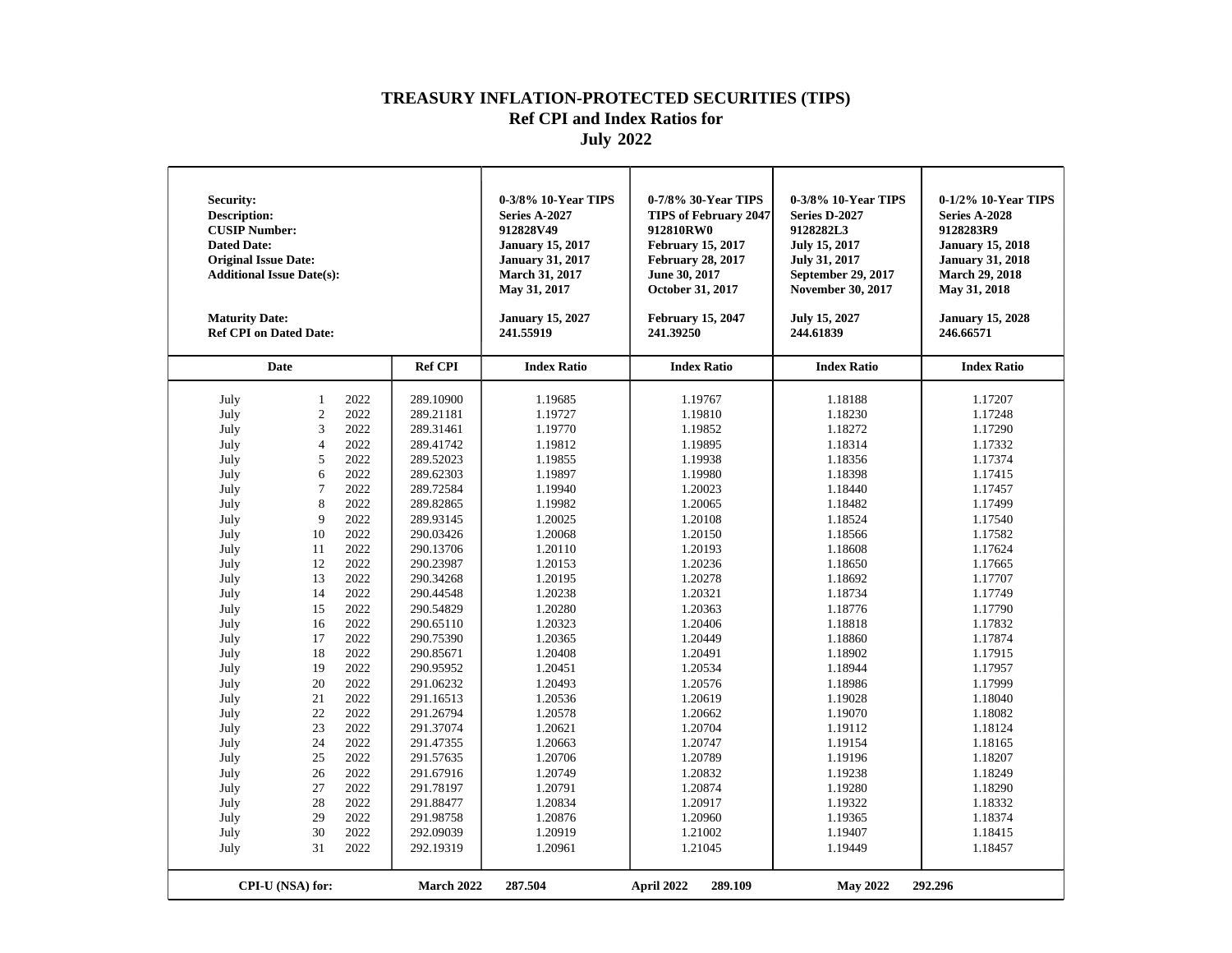| Security:<br><b>Description:</b><br><b>CUSIP Number:</b><br><b>Dated Date:</b><br><b>Original Issue Date:</b><br><b>Additional Issue Date(s):</b><br><b>Maturity Date:</b><br><b>Ref CPI on Dated Date:</b>                                          |                                                                                                                                                                                                                                 |                                                                                                                                                                                                                                                      |                                                                                                                                                                                                                                                                                                                                                                                                                 | 0-3/8% 10-Year TIPS<br><b>Series A-2027</b><br>912828V49<br><b>January 15, 2017</b><br><b>January 31, 2017</b><br><b>March 31, 2017</b><br>May 31, 2017<br><b>January 15, 2027</b><br>241.55919                                                                                                                                                   | 0-7/8% 30-Year TIPS<br><b>TIPS of February 2047</b><br>912810RW0<br><b>February 15, 2017</b><br><b>February 28, 2017</b><br>June 30, 2017<br>October 31, 2017<br><b>February 15, 2047</b><br>241.39250                                                                                                                                            | 0-3/8% 10-Year TIPS<br>Series D-2027<br>9128282L3<br>July 15, 2017<br><b>July 31, 2017</b><br>September 29, 2017<br><b>November 30, 2017</b><br><b>July 15, 2027</b><br>244.61839                                                                                                                                                                 | 0-1/2% 10-Year TIPS<br>Series A-2028<br>9128283R9<br><b>January 15, 2018</b><br><b>January 31, 2018</b><br><b>March 29, 2018</b><br>May 31, 2018<br><b>January 15, 2028</b><br>246.66571                                                                                                                                                          |
|------------------------------------------------------------------------------------------------------------------------------------------------------------------------------------------------------------------------------------------------------|---------------------------------------------------------------------------------------------------------------------------------------------------------------------------------------------------------------------------------|------------------------------------------------------------------------------------------------------------------------------------------------------------------------------------------------------------------------------------------------------|-----------------------------------------------------------------------------------------------------------------------------------------------------------------------------------------------------------------------------------------------------------------------------------------------------------------------------------------------------------------------------------------------------------------|---------------------------------------------------------------------------------------------------------------------------------------------------------------------------------------------------------------------------------------------------------------------------------------------------------------------------------------------------|---------------------------------------------------------------------------------------------------------------------------------------------------------------------------------------------------------------------------------------------------------------------------------------------------------------------------------------------------|---------------------------------------------------------------------------------------------------------------------------------------------------------------------------------------------------------------------------------------------------------------------------------------------------------------------------------------------------|---------------------------------------------------------------------------------------------------------------------------------------------------------------------------------------------------------------------------------------------------------------------------------------------------------------------------------------------------|
|                                                                                                                                                                                                                                                      | <b>Date</b>                                                                                                                                                                                                                     |                                                                                                                                                                                                                                                      | <b>Ref CPI</b>                                                                                                                                                                                                                                                                                                                                                                                                  | <b>Index Ratio</b>                                                                                                                                                                                                                                                                                                                                | <b>Index Ratio</b>                                                                                                                                                                                                                                                                                                                                | <b>Index Ratio</b>                                                                                                                                                                                                                                                                                                                                | <b>Index Ratio</b>                                                                                                                                                                                                                                                                                                                                |
| July<br>July<br>July<br>July<br>July<br>July<br>July<br>July<br>July<br>July<br>July<br>July<br>July<br>July<br>July<br>July<br>July<br>July<br>July<br>July<br>July<br>July<br>July<br>July<br>July<br>July<br>July<br>July<br>July<br>July<br>July | $\mathbf{1}$<br>$\overline{c}$<br>3<br>$\overline{4}$<br>5<br>6<br>$\overline{7}$<br>8<br>9<br>10<br>11<br>12<br>13<br>14<br>15<br>16<br>17<br>18<br>19<br>20<br>21<br>22<br>23<br>24<br>25<br>26<br>27<br>28<br>29<br>30<br>31 | 2022<br>2022<br>2022<br>2022<br>2022<br>2022<br>2022<br>2022<br>2022<br>2022<br>2022<br>2022<br>2022<br>2022<br>2022<br>2022<br>2022<br>2022<br>2022<br>2022<br>2022<br>2022<br>2022<br>2022<br>2022<br>2022<br>2022<br>2022<br>2022<br>2022<br>2022 | 289.10900<br>289.21181<br>289.31461<br>289.41742<br>289.52023<br>289.62303<br>289.72584<br>289.82865<br>289.93145<br>290.03426<br>290.13706<br>290.23987<br>290.34268<br>290.44548<br>290.54829<br>290.65110<br>290.75390<br>290.85671<br>290.95952<br>291.06232<br>291.16513<br>291.26794<br>291.37074<br>291.47355<br>291.57635<br>291.67916<br>291.78197<br>291.88477<br>291.98758<br>292.09039<br>292.19319 | 1.19685<br>1.19727<br>1.19770<br>1.19812<br>1.19855<br>1.19897<br>1.19940<br>1.19982<br>1.20025<br>1.20068<br>1.20110<br>1.20153<br>1.20195<br>1.20238<br>1.20280<br>1.20323<br>1.20365<br>1.20408<br>1.20451<br>1.20493<br>1.20536<br>1.20578<br>1.20621<br>1.20663<br>1.20706<br>1.20749<br>1.20791<br>1.20834<br>1.20876<br>1.20919<br>1.20961 | 1.19767<br>1.19810<br>1.19852<br>1.19895<br>1.19938<br>1.19980<br>1.20023<br>1.20065<br>1.20108<br>1.20150<br>1.20193<br>1.20236<br>1.20278<br>1.20321<br>1.20363<br>1.20406<br>1.20449<br>1.20491<br>1.20534<br>1.20576<br>1.20619<br>1.20662<br>1.20704<br>1.20747<br>1.20789<br>1.20832<br>1.20874<br>1.20917<br>1.20960<br>1.21002<br>1.21045 | 1.18188<br>1.18230<br>1.18272<br>1.18314<br>1.18356<br>1.18398<br>1.18440<br>1.18482<br>1.18524<br>1.18566<br>1.18608<br>1.18650<br>1.18692<br>1.18734<br>1.18776<br>1.18818<br>1.18860<br>1.18902<br>1.18944<br>1.18986<br>1.19028<br>1.19070<br>1.19112<br>1.19154<br>1.19196<br>1.19238<br>1.19280<br>1.19322<br>1.19365<br>1.19407<br>1.19449 | 1.17207<br>1.17248<br>1.17290<br>1.17332<br>1.17374<br>1.17415<br>1.17457<br>1.17499<br>1.17540<br>1.17582<br>1.17624<br>1.17665<br>1.17707<br>1.17749<br>1.17790<br>1.17832<br>1.17874<br>1.17915<br>1.17957<br>1.17999<br>1.18040<br>1.18082<br>1.18124<br>1.18165<br>1.18207<br>1.18249<br>1.18290<br>1.18332<br>1.18374<br>1.18415<br>1.18457 |
|                                                                                                                                                                                                                                                      | CPI-U (NSA) for:                                                                                                                                                                                                                |                                                                                                                                                                                                                                                      | <b>March 2022</b>                                                                                                                                                                                                                                                                                                                                                                                               | 287.504                                                                                                                                                                                                                                                                                                                                           | 289.109<br>April 2022                                                                                                                                                                                                                                                                                                                             | <b>May 2022</b>                                                                                                                                                                                                                                                                                                                                   | 292.296                                                                                                                                                                                                                                                                                                                                           |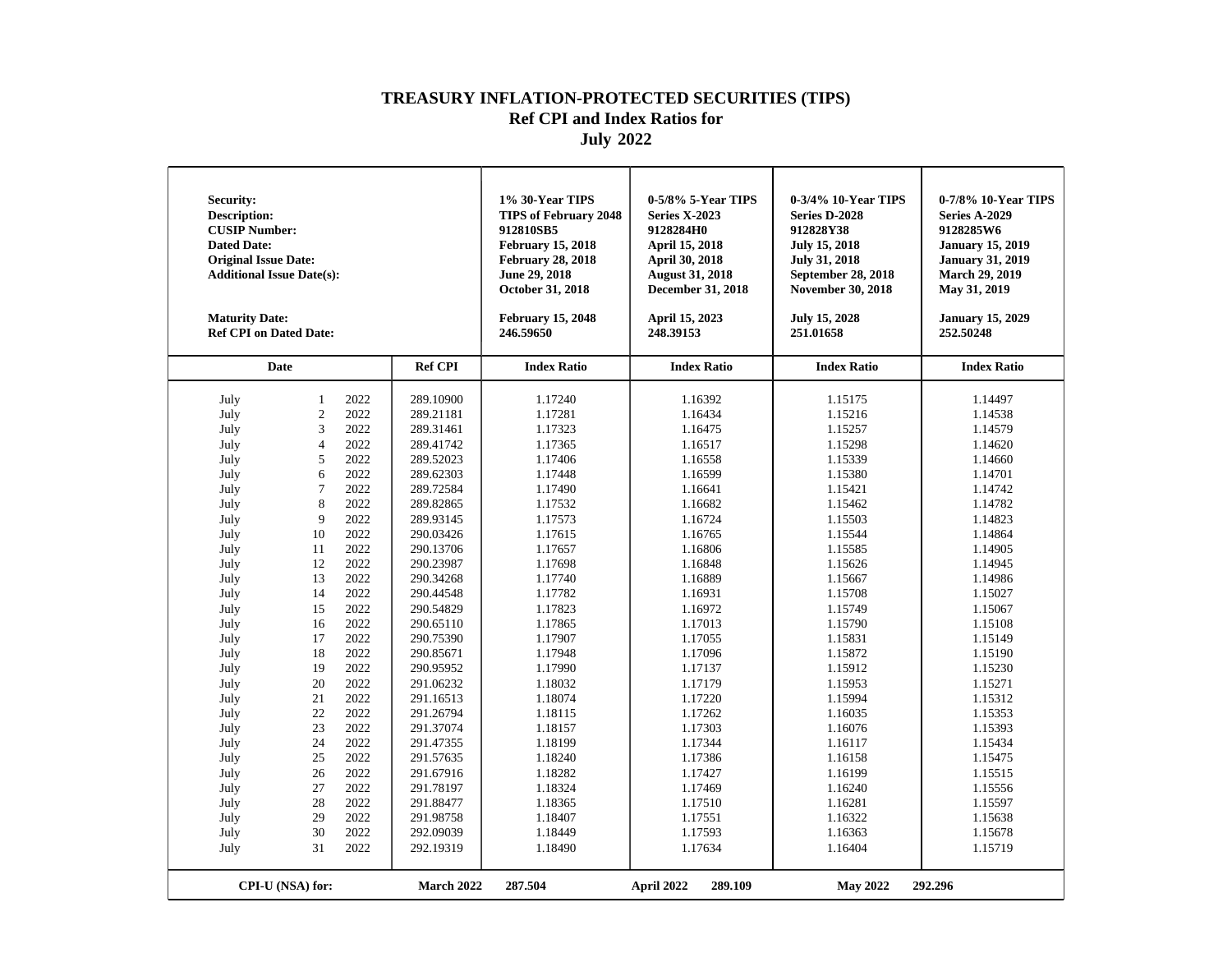| Security:<br><b>Description:</b><br><b>CUSIP Number:</b><br><b>Dated Date:</b><br><b>Original Issue Date:</b><br><b>Additional Issue Date(s):</b><br><b>Maturity Date:</b><br><b>Ref CPI on Dated Date:</b>                                          |                                                                                                                                                                                                                                 |                                                                                                                                                                                                                                                      |                                                                                                                                                                                                                                                                                                                                                                                                                 | 1% 30-Year TIPS<br><b>TIPS of February 2048</b><br>912810SB5<br><b>February 15, 2018</b><br><b>February 28, 2018</b><br>June 29, 2018<br>October 31, 2018<br><b>February 15, 2048</b><br>246.59650                                                                                                                                                | 0-5/8% 5-Year TIPS<br><b>Series X-2023</b><br>9128284H0<br><b>April 15, 2018</b><br>April 30, 2018<br><b>August 31, 2018</b><br>December 31, 2018<br>April 15, 2023<br>248.39153                                                                                                                                                                  | 0-3/4% 10-Year TIPS<br>Series D-2028<br>912828Y38<br><b>July 15, 2018</b><br><b>July 31, 2018</b><br><b>September 28, 2018</b><br><b>November 30, 2018</b><br>July 15, 2028<br>251.01658                                                                                                                                                          | 0-7/8% 10-Year TIPS<br><b>Series A-2029</b><br>9128285W6<br><b>January 15, 2019</b><br><b>January 31, 2019</b><br><b>March 29, 2019</b><br>May 31, 2019<br><b>January 15, 2029</b><br>252.50248                                                                                                                                                   |
|------------------------------------------------------------------------------------------------------------------------------------------------------------------------------------------------------------------------------------------------------|---------------------------------------------------------------------------------------------------------------------------------------------------------------------------------------------------------------------------------|------------------------------------------------------------------------------------------------------------------------------------------------------------------------------------------------------------------------------------------------------|-----------------------------------------------------------------------------------------------------------------------------------------------------------------------------------------------------------------------------------------------------------------------------------------------------------------------------------------------------------------------------------------------------------------|---------------------------------------------------------------------------------------------------------------------------------------------------------------------------------------------------------------------------------------------------------------------------------------------------------------------------------------------------|---------------------------------------------------------------------------------------------------------------------------------------------------------------------------------------------------------------------------------------------------------------------------------------------------------------------------------------------------|---------------------------------------------------------------------------------------------------------------------------------------------------------------------------------------------------------------------------------------------------------------------------------------------------------------------------------------------------|---------------------------------------------------------------------------------------------------------------------------------------------------------------------------------------------------------------------------------------------------------------------------------------------------------------------------------------------------|
|                                                                                                                                                                                                                                                      | <b>Date</b>                                                                                                                                                                                                                     |                                                                                                                                                                                                                                                      | <b>Ref CPI</b>                                                                                                                                                                                                                                                                                                                                                                                                  | <b>Index Ratio</b>                                                                                                                                                                                                                                                                                                                                | <b>Index Ratio</b>                                                                                                                                                                                                                                                                                                                                | <b>Index Ratio</b>                                                                                                                                                                                                                                                                                                                                | <b>Index Ratio</b>                                                                                                                                                                                                                                                                                                                                |
| July<br>July<br>July<br>July<br>July<br>July<br>July<br>July<br>July<br>July<br>July<br>July<br>July<br>July<br>July<br>July<br>July<br>July<br>July<br>July<br>July<br>July<br>July<br>July<br>July<br>July<br>July<br>July<br>July<br>July<br>July | $\mathbf{1}$<br>$\overline{c}$<br>3<br>$\overline{4}$<br>5<br>6<br>$\overline{7}$<br>8<br>9<br>10<br>11<br>12<br>13<br>14<br>15<br>16<br>17<br>18<br>19<br>20<br>21<br>22<br>23<br>24<br>25<br>26<br>27<br>28<br>29<br>30<br>31 | 2022<br>2022<br>2022<br>2022<br>2022<br>2022<br>2022<br>2022<br>2022<br>2022<br>2022<br>2022<br>2022<br>2022<br>2022<br>2022<br>2022<br>2022<br>2022<br>2022<br>2022<br>2022<br>2022<br>2022<br>2022<br>2022<br>2022<br>2022<br>2022<br>2022<br>2022 | 289.10900<br>289.21181<br>289.31461<br>289.41742<br>289.52023<br>289.62303<br>289.72584<br>289.82865<br>289.93145<br>290.03426<br>290.13706<br>290.23987<br>290.34268<br>290.44548<br>290.54829<br>290.65110<br>290.75390<br>290.85671<br>290.95952<br>291.06232<br>291.16513<br>291.26794<br>291.37074<br>291.47355<br>291.57635<br>291.67916<br>291.78197<br>291.88477<br>291.98758<br>292.09039<br>292.19319 | 1.17240<br>1.17281<br>1.17323<br>1.17365<br>1.17406<br>1.17448<br>1.17490<br>1.17532<br>1.17573<br>1.17615<br>1.17657<br>1.17698<br>1.17740<br>1.17782<br>1.17823<br>1.17865<br>1.17907<br>1.17948<br>1.17990<br>1.18032<br>1.18074<br>1.18115<br>1.18157<br>1.18199<br>1.18240<br>1.18282<br>1.18324<br>1.18365<br>1.18407<br>1.18449<br>1.18490 | 1.16392<br>1.16434<br>1.16475<br>1.16517<br>1.16558<br>1.16599<br>1.16641<br>1.16682<br>1.16724<br>1.16765<br>1.16806<br>1.16848<br>1.16889<br>1.16931<br>1.16972<br>1.17013<br>1.17055<br>1.17096<br>1.17137<br>1.17179<br>1.17220<br>1.17262<br>1.17303<br>1.17344<br>1.17386<br>1.17427<br>1.17469<br>1.17510<br>1.17551<br>1.17593<br>1.17634 | 1.15175<br>1.15216<br>1.15257<br>1.15298<br>1.15339<br>1.15380<br>1.15421<br>1.15462<br>1.15503<br>1.15544<br>1.15585<br>1.15626<br>1.15667<br>1.15708<br>1.15749<br>1.15790<br>1.15831<br>1.15872<br>1.15912<br>1.15953<br>1.15994<br>1.16035<br>1.16076<br>1.16117<br>1.16158<br>1.16199<br>1.16240<br>1.16281<br>1.16322<br>1.16363<br>1.16404 | 1.14497<br>1.14538<br>1.14579<br>1.14620<br>1.14660<br>1.14701<br>1.14742<br>1.14782<br>1.14823<br>1.14864<br>1.14905<br>1.14945<br>1.14986<br>1.15027<br>1.15067<br>1.15108<br>1.15149<br>1.15190<br>1.15230<br>1.15271<br>1.15312<br>1.15353<br>1.15393<br>1.15434<br>1.15475<br>1.15515<br>1.15556<br>1.15597<br>1.15638<br>1.15678<br>1.15719 |
|                                                                                                                                                                                                                                                      | CPI-U (NSA) for:                                                                                                                                                                                                                |                                                                                                                                                                                                                                                      | <b>March 2022</b>                                                                                                                                                                                                                                                                                                                                                                                               | 287.504                                                                                                                                                                                                                                                                                                                                           | 289.109<br>April 2022                                                                                                                                                                                                                                                                                                                             | <b>May 2022</b>                                                                                                                                                                                                                                                                                                                                   | 292.296                                                                                                                                                                                                                                                                                                                                           |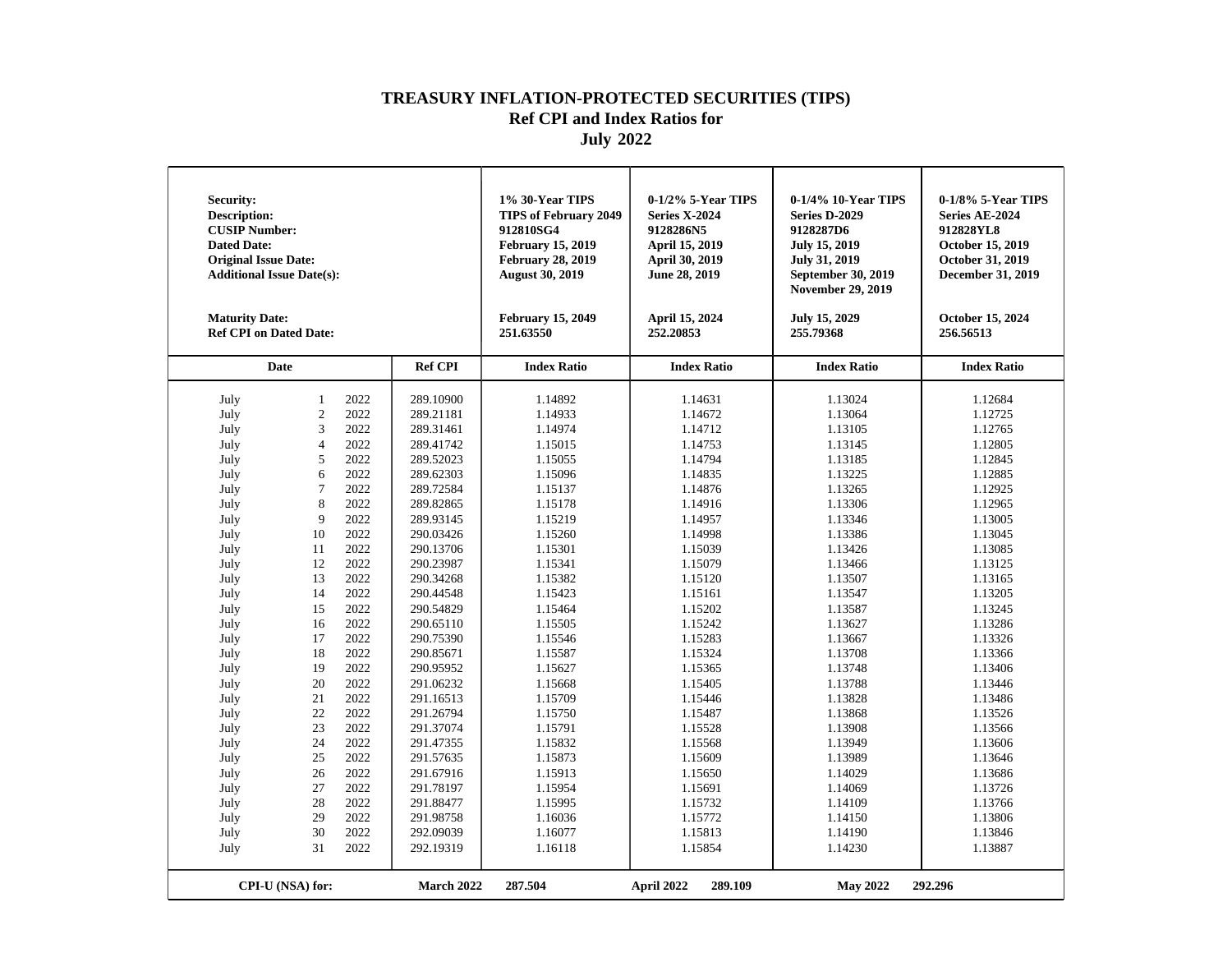| <b>Security:</b><br><b>Description:</b><br><b>CUSIP Number:</b><br><b>Dated Date:</b><br><b>Original Issue Date:</b><br><b>Additional Issue Date(s):</b><br><b>Maturity Date:</b><br><b>Ref CPI on Dated Date:</b> |                  |      |                | 1% 30-Year TIPS<br><b>TIPS of February 2049</b><br>912810SG4<br><b>February 15, 2019</b><br><b>February 28, 2019</b><br><b>August 30, 2019</b><br><b>February 15, 2049</b><br>251.63550 | 0-1/2% 5-Year TIPS<br><b>Series X-2024</b><br>9128286N5<br>April 15, 2019<br>April 30, 2019<br>June 28, 2019<br>April 15, 2024<br>252.20853 | 0-1/4% 10-Year TIPS<br>Series D-2029<br>9128287D6<br><b>July 15, 2019</b><br><b>July 31, 2019</b><br><b>September 30, 2019</b><br><b>November 29, 2019</b><br>July 15, 2029<br>255.79368 | 0-1/8% 5-Year TIPS<br>Series AE-2024<br>912828YL8<br>October 15, 2019<br>October 31, 2019<br><b>December 31, 2019</b><br>October 15, 2024<br>256.56513 |
|--------------------------------------------------------------------------------------------------------------------------------------------------------------------------------------------------------------------|------------------|------|----------------|-----------------------------------------------------------------------------------------------------------------------------------------------------------------------------------------|---------------------------------------------------------------------------------------------------------------------------------------------|------------------------------------------------------------------------------------------------------------------------------------------------------------------------------------------|--------------------------------------------------------------------------------------------------------------------------------------------------------|
|                                                                                                                                                                                                                    | Date             |      | <b>Ref CPI</b> | <b>Index Ratio</b>                                                                                                                                                                      | <b>Index Ratio</b>                                                                                                                          | <b>Index Ratio</b>                                                                                                                                                                       | <b>Index Ratio</b>                                                                                                                                     |
| July                                                                                                                                                                                                               | $\mathbf{1}$     | 2022 | 289.10900      | 1.14892                                                                                                                                                                                 | 1.14631                                                                                                                                     | 1.13024                                                                                                                                                                                  | 1.12684                                                                                                                                                |
| July                                                                                                                                                                                                               | $\overline{2}$   | 2022 | 289.21181      | 1.14933                                                                                                                                                                                 | 1.14672                                                                                                                                     | 1.13064                                                                                                                                                                                  | 1.12725                                                                                                                                                |
| July                                                                                                                                                                                                               | 3                | 2022 | 289.31461      | 1.14974                                                                                                                                                                                 | 1.14712                                                                                                                                     | 1.13105                                                                                                                                                                                  | 1.12765                                                                                                                                                |
| July                                                                                                                                                                                                               | $\overline{4}$   | 2022 | 289.41742      | 1.15015                                                                                                                                                                                 | 1.14753                                                                                                                                     | 1.13145                                                                                                                                                                                  | 1.12805                                                                                                                                                |
| July                                                                                                                                                                                                               | 5                | 2022 | 289.52023      | 1.15055                                                                                                                                                                                 | 1.14794                                                                                                                                     | 1.13185                                                                                                                                                                                  | 1.12845                                                                                                                                                |
| July                                                                                                                                                                                                               | 6                | 2022 | 289.62303      | 1.15096                                                                                                                                                                                 | 1.14835                                                                                                                                     | 1.13225                                                                                                                                                                                  | 1.12885                                                                                                                                                |
| July                                                                                                                                                                                                               | $\overline{7}$   | 2022 | 289.72584      | 1.15137                                                                                                                                                                                 | 1.14876                                                                                                                                     | 1.13265                                                                                                                                                                                  | 1.12925                                                                                                                                                |
| July                                                                                                                                                                                                               | 8                | 2022 | 289.82865      | 1.15178                                                                                                                                                                                 | 1.14916                                                                                                                                     | 1.13306                                                                                                                                                                                  | 1.12965                                                                                                                                                |
| July                                                                                                                                                                                                               | 9                | 2022 | 289.93145      | 1.15219                                                                                                                                                                                 | 1.14957                                                                                                                                     | 1.13346                                                                                                                                                                                  | 1.13005                                                                                                                                                |
| July                                                                                                                                                                                                               | 10               | 2022 | 290.03426      | 1.15260                                                                                                                                                                                 | 1.14998                                                                                                                                     | 1.13386                                                                                                                                                                                  | 1.13045                                                                                                                                                |
| July                                                                                                                                                                                                               | 11               | 2022 | 290.13706      | 1.15301                                                                                                                                                                                 | 1.15039                                                                                                                                     | 1.13426                                                                                                                                                                                  | 1.13085                                                                                                                                                |
| July                                                                                                                                                                                                               | 12               | 2022 | 290.23987      | 1.15341                                                                                                                                                                                 | 1.15079                                                                                                                                     | 1.13466                                                                                                                                                                                  | 1.13125                                                                                                                                                |
| July                                                                                                                                                                                                               | 13               | 2022 | 290.34268      | 1.15382                                                                                                                                                                                 | 1.15120                                                                                                                                     | 1.13507                                                                                                                                                                                  | 1.13165                                                                                                                                                |
| July                                                                                                                                                                                                               | 14               | 2022 | 290.44548      | 1.15423                                                                                                                                                                                 | 1.15161                                                                                                                                     | 1.13547                                                                                                                                                                                  | 1.13205                                                                                                                                                |
| July                                                                                                                                                                                                               | 15               | 2022 | 290.54829      | 1.15464                                                                                                                                                                                 | 1.15202                                                                                                                                     | 1.13587                                                                                                                                                                                  | 1.13245                                                                                                                                                |
| July                                                                                                                                                                                                               | 16               | 2022 | 290.65110      | 1.15505                                                                                                                                                                                 | 1.15242                                                                                                                                     | 1.13627                                                                                                                                                                                  | 1.13286                                                                                                                                                |
| July                                                                                                                                                                                                               | 17               | 2022 | 290.75390      | 1.15546                                                                                                                                                                                 | 1.15283                                                                                                                                     | 1.13667                                                                                                                                                                                  | 1.13326                                                                                                                                                |
| July                                                                                                                                                                                                               | 18               | 2022 | 290.85671      | 1.15587                                                                                                                                                                                 | 1.15324                                                                                                                                     | 1.13708                                                                                                                                                                                  | 1.13366                                                                                                                                                |
| July                                                                                                                                                                                                               | 19               | 2022 | 290.95952      | 1.15627                                                                                                                                                                                 | 1.15365                                                                                                                                     | 1.13748                                                                                                                                                                                  | 1.13406                                                                                                                                                |
| July                                                                                                                                                                                                               | 20               | 2022 | 291.06232      | 1.15668                                                                                                                                                                                 | 1.15405                                                                                                                                     | 1.13788                                                                                                                                                                                  | 1.13446                                                                                                                                                |
| July                                                                                                                                                                                                               | 21               | 2022 | 291.16513      | 1.15709                                                                                                                                                                                 | 1.15446                                                                                                                                     | 1.13828                                                                                                                                                                                  | 1.13486                                                                                                                                                |
| July                                                                                                                                                                                                               | 22               | 2022 | 291.26794      | 1.15750                                                                                                                                                                                 | 1.15487                                                                                                                                     | 1.13868                                                                                                                                                                                  | 1.13526                                                                                                                                                |
| July                                                                                                                                                                                                               | 23               | 2022 | 291.37074      | 1.15791                                                                                                                                                                                 | 1.15528                                                                                                                                     | 1.13908                                                                                                                                                                                  | 1.13566                                                                                                                                                |
| July                                                                                                                                                                                                               | 24               | 2022 | 291.47355      | 1.15832                                                                                                                                                                                 | 1.15568                                                                                                                                     | 1.13949                                                                                                                                                                                  | 1.13606                                                                                                                                                |
| July                                                                                                                                                                                                               | 25               | 2022 | 291.57635      | 1.15873                                                                                                                                                                                 | 1.15609                                                                                                                                     | 1.13989                                                                                                                                                                                  | 1.13646                                                                                                                                                |
| July                                                                                                                                                                                                               | 26               | 2022 | 291.67916      | 1.15913                                                                                                                                                                                 | 1.15650                                                                                                                                     | 1.14029                                                                                                                                                                                  | 1.13686                                                                                                                                                |
| July                                                                                                                                                                                                               | 27               | 2022 | 291.78197      | 1.15954                                                                                                                                                                                 | 1.15691                                                                                                                                     | 1.14069                                                                                                                                                                                  | 1.13726                                                                                                                                                |
| July                                                                                                                                                                                                               | 28               | 2022 | 291.88477      | 1.15995                                                                                                                                                                                 | 1.15732                                                                                                                                     | 1.14109                                                                                                                                                                                  | 1.13766                                                                                                                                                |
| July                                                                                                                                                                                                               | 29               | 2022 | 291.98758      | 1.16036                                                                                                                                                                                 | 1.15772                                                                                                                                     | 1.14150                                                                                                                                                                                  | 1.13806                                                                                                                                                |
| July                                                                                                                                                                                                               | 30               | 2022 | 292.09039      | 1.16077                                                                                                                                                                                 | 1.15813                                                                                                                                     | 1.14190                                                                                                                                                                                  | 1.13846                                                                                                                                                |
| July                                                                                                                                                                                                               | 31               | 2022 | 292.19319      | 1.16118                                                                                                                                                                                 | 1.15854                                                                                                                                     | 1.14230                                                                                                                                                                                  | 1.13887                                                                                                                                                |
|                                                                                                                                                                                                                    | CPI-U (NSA) for: |      | March 2022     | 287.504                                                                                                                                                                                 | April 2022<br>289.109                                                                                                                       | <b>May 2022</b>                                                                                                                                                                          | 292.296                                                                                                                                                |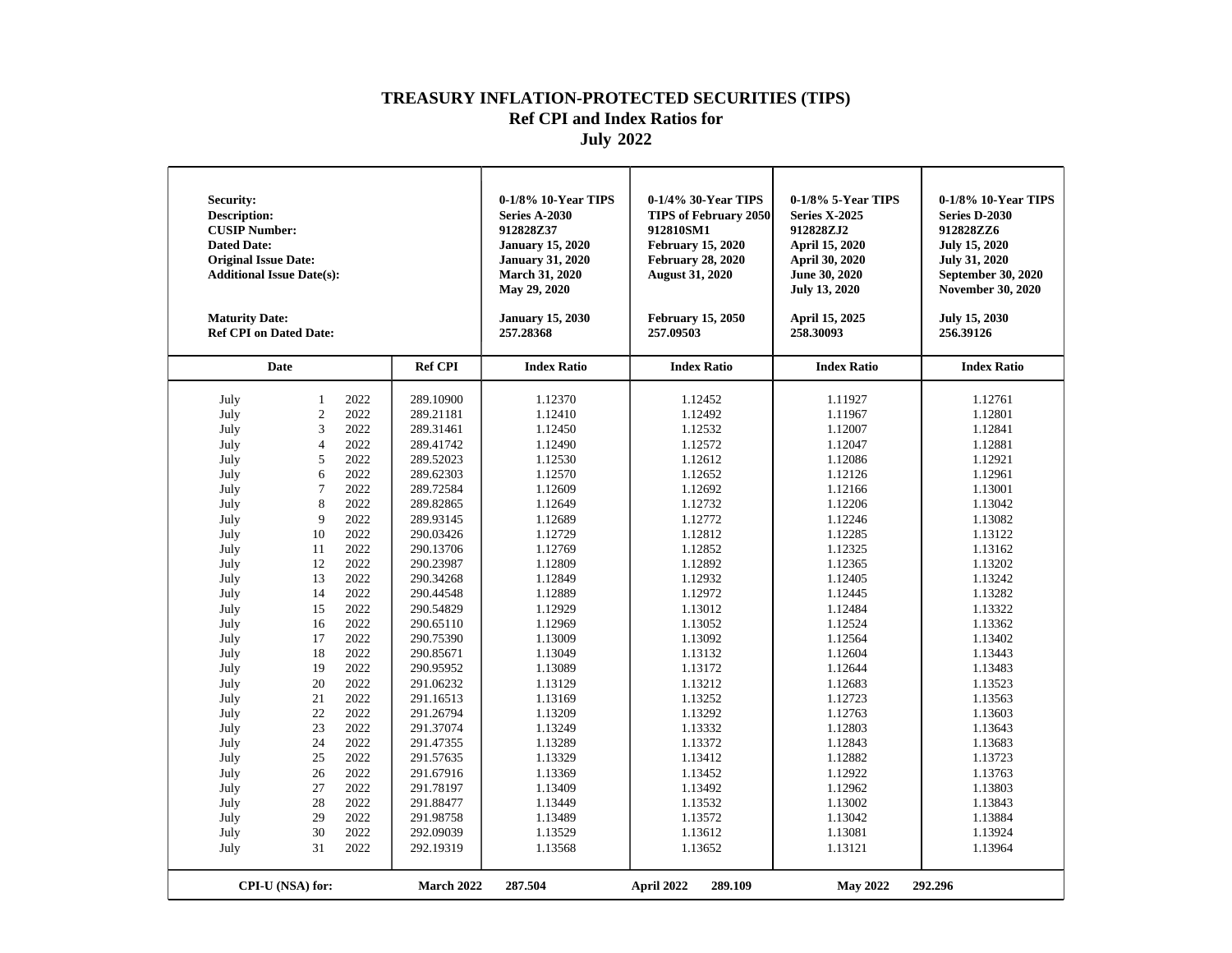| Security:<br><b>Description:</b><br><b>CUSIP Number:</b><br><b>Dated Date:</b><br><b>Original Issue Date:</b><br><b>Additional Issue Date(s):</b><br><b>Maturity Date:</b><br><b>Ref CPI on Dated Date:</b>                                          |                                                                                                                                                                                                                                 |                                                                                                                                                                                                                                                      |                                                                                                                                                                                                                                                                                                                                                                                                                 | 0-1/8% 10-Year TIPS<br><b>Series A-2030</b><br>912828Z37<br><b>January 15, 2020</b><br><b>January 31, 2020</b><br><b>March 31, 2020</b><br>May 29, 2020<br><b>January 15, 2030</b><br>257.28368                                                                                                                                                   | 0-1/4% 30-Year TIPS<br><b>TIPS of February 2050</b><br>912810SM1<br><b>February 15, 2020</b><br><b>February 28, 2020</b><br><b>August 31, 2020</b><br><b>February 15, 2050</b><br>257.09503                                                                                                                                                       | 0-1/8% 5-Year TIPS<br><b>Series X-2025</b><br>912828ZJ2<br>April 15, 2020<br>April 30, 2020<br>June 30, 2020<br><b>July 13, 2020</b><br>April 15, 2025<br>258.30093                                                                                                                                                                               | 0-1/8% 10-Year TIPS<br><b>Series D-2030</b><br>912828ZZ6<br><b>July 15, 2020</b><br><b>July 31, 2020</b><br>September 30, 2020<br><b>November 30, 2020</b><br>July 15, 2030<br>256.39126                                                                                                                                                          |
|------------------------------------------------------------------------------------------------------------------------------------------------------------------------------------------------------------------------------------------------------|---------------------------------------------------------------------------------------------------------------------------------------------------------------------------------------------------------------------------------|------------------------------------------------------------------------------------------------------------------------------------------------------------------------------------------------------------------------------------------------------|-----------------------------------------------------------------------------------------------------------------------------------------------------------------------------------------------------------------------------------------------------------------------------------------------------------------------------------------------------------------------------------------------------------------|---------------------------------------------------------------------------------------------------------------------------------------------------------------------------------------------------------------------------------------------------------------------------------------------------------------------------------------------------|---------------------------------------------------------------------------------------------------------------------------------------------------------------------------------------------------------------------------------------------------------------------------------------------------------------------------------------------------|---------------------------------------------------------------------------------------------------------------------------------------------------------------------------------------------------------------------------------------------------------------------------------------------------------------------------------------------------|---------------------------------------------------------------------------------------------------------------------------------------------------------------------------------------------------------------------------------------------------------------------------------------------------------------------------------------------------|
|                                                                                                                                                                                                                                                      | <b>Date</b>                                                                                                                                                                                                                     |                                                                                                                                                                                                                                                      | <b>Ref CPI</b>                                                                                                                                                                                                                                                                                                                                                                                                  | <b>Index Ratio</b>                                                                                                                                                                                                                                                                                                                                | <b>Index Ratio</b>                                                                                                                                                                                                                                                                                                                                | <b>Index Ratio</b>                                                                                                                                                                                                                                                                                                                                | <b>Index Ratio</b>                                                                                                                                                                                                                                                                                                                                |
| July<br>July<br>July<br>July<br>July<br>July<br>July<br>July<br>July<br>July<br>July<br>July<br>July<br>July<br>July<br>July<br>July<br>July<br>July<br>July<br>July<br>July<br>July<br>July<br>July<br>July<br>July<br>July<br>July<br>July<br>July | $\mathbf{1}$<br>$\overline{c}$<br>3<br>$\overline{4}$<br>5<br>6<br>$\overline{7}$<br>8<br>9<br>10<br>11<br>12<br>13<br>14<br>15<br>16<br>17<br>18<br>19<br>20<br>21<br>22<br>23<br>24<br>25<br>26<br>27<br>28<br>29<br>30<br>31 | 2022<br>2022<br>2022<br>2022<br>2022<br>2022<br>2022<br>2022<br>2022<br>2022<br>2022<br>2022<br>2022<br>2022<br>2022<br>2022<br>2022<br>2022<br>2022<br>2022<br>2022<br>2022<br>2022<br>2022<br>2022<br>2022<br>2022<br>2022<br>2022<br>2022<br>2022 | 289.10900<br>289.21181<br>289.31461<br>289.41742<br>289.52023<br>289.62303<br>289.72584<br>289.82865<br>289.93145<br>290.03426<br>290.13706<br>290.23987<br>290.34268<br>290.44548<br>290.54829<br>290.65110<br>290.75390<br>290.85671<br>290.95952<br>291.06232<br>291.16513<br>291.26794<br>291.37074<br>291.47355<br>291.57635<br>291.67916<br>291.78197<br>291.88477<br>291.98758<br>292.09039<br>292.19319 | 1.12370<br>1.12410<br>1.12450<br>1.12490<br>1.12530<br>1.12570<br>1.12609<br>1.12649<br>1.12689<br>1.12729<br>1.12769<br>1.12809<br>1.12849<br>1.12889<br>1.12929<br>1.12969<br>1.13009<br>1.13049<br>1.13089<br>1.13129<br>1.13169<br>1.13209<br>1.13249<br>1.13289<br>1.13329<br>1.13369<br>1.13409<br>1.13449<br>1.13489<br>1.13529<br>1.13568 | 1.12452<br>1.12492<br>1.12532<br>1.12572<br>1.12612<br>1.12652<br>1.12692<br>1.12732<br>1.12772<br>1.12812<br>1.12852<br>1.12892<br>1.12932<br>1.12972<br>1.13012<br>1.13052<br>1.13092<br>1.13132<br>1.13172<br>1.13212<br>1.13252<br>1.13292<br>1.13332<br>1.13372<br>1.13412<br>1.13452<br>1.13492<br>1.13532<br>1.13572<br>1.13612<br>1.13652 | 1.11927<br>1.11967<br>1.12007<br>1.12047<br>1.12086<br>1.12126<br>1.12166<br>1.12206<br>1.12246<br>1.12285<br>1.12325<br>1.12365<br>1.12405<br>1.12445<br>1.12484<br>1.12524<br>1.12564<br>1.12604<br>1.12644<br>1.12683<br>1.12723<br>1.12763<br>1.12803<br>1.12843<br>1.12882<br>1.12922<br>1.12962<br>1.13002<br>1.13042<br>1.13081<br>1.13121 | 1.12761<br>1.12801<br>1.12841<br>1.12881<br>1.12921<br>1.12961<br>1.13001<br>1.13042<br>1.13082<br>1.13122<br>1.13162<br>1.13202<br>1.13242<br>1.13282<br>1.13322<br>1.13362<br>1.13402<br>1.13443<br>1.13483<br>1.13523<br>1.13563<br>1.13603<br>1.13643<br>1.13683<br>1.13723<br>1.13763<br>1.13803<br>1.13843<br>1.13884<br>1.13924<br>1.13964 |
|                                                                                                                                                                                                                                                      | CPI-U (NSA) for:                                                                                                                                                                                                                |                                                                                                                                                                                                                                                      | March 2022                                                                                                                                                                                                                                                                                                                                                                                                      | 287.504                                                                                                                                                                                                                                                                                                                                           | April 2022<br>289.109                                                                                                                                                                                                                                                                                                                             | <b>May 2022</b>                                                                                                                                                                                                                                                                                                                                   | 292.296                                                                                                                                                                                                                                                                                                                                           |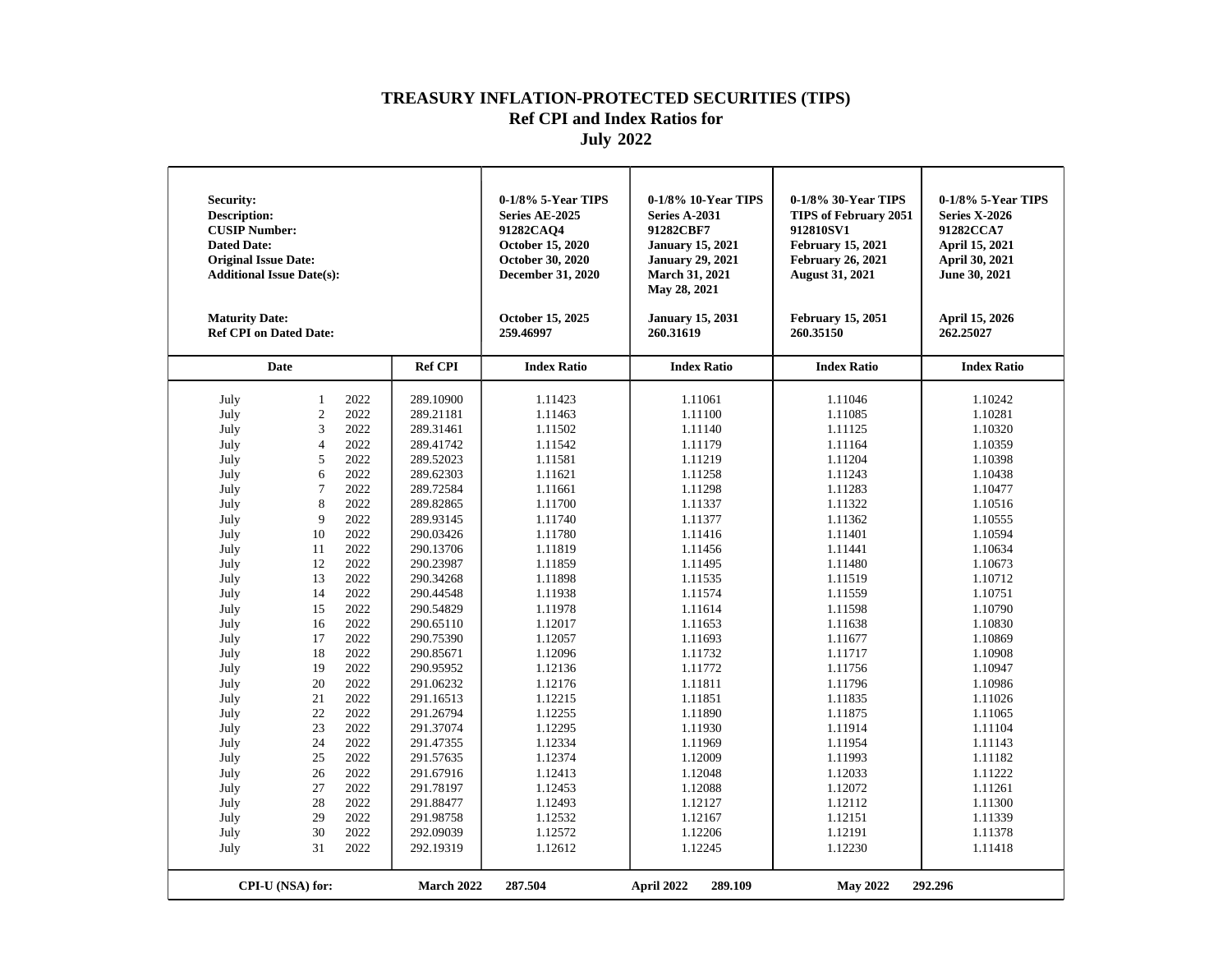| <b>Security:</b><br><b>Description:</b><br><b>CUSIP Number:</b><br><b>Dated Date:</b><br><b>Original Issue Date:</b><br><b>Additional Issue Date(s):</b><br><b>Maturity Date:</b><br><b>Ref CPI on Dated Date:</b> |                                |              |                        | 0-1/8% 5-Year TIPS<br>Series AE-2025<br>91282CAO4<br>October 15, 2020<br>October 30, 2020<br><b>December 31, 2020</b><br>October 15, 2025<br>259.46997 | 0-1/8% 10-Year TIPS<br><b>Series A-2031</b><br>91282CBF7<br><b>January 15, 2021</b><br><b>January 29, 2021</b><br><b>March 31, 2021</b><br>May 28, 2021<br><b>January 15, 2031</b><br>260.31619 | 0-1/8% 30-Year TIPS<br><b>TIPS of February 2051</b><br>912810SV1<br><b>February 15, 2021</b><br><b>February 26, 2021</b><br><b>August 31, 2021</b><br><b>February 15, 2051</b><br>260.35150 | 0-1/8% 5-Year TIPS<br><b>Series X-2026</b><br>91282CCA7<br>April 15, 2021<br>April 30, 2021<br>June 30, 2021<br>April 15, 2026<br>262.25027 |
|--------------------------------------------------------------------------------------------------------------------------------------------------------------------------------------------------------------------|--------------------------------|--------------|------------------------|--------------------------------------------------------------------------------------------------------------------------------------------------------|-------------------------------------------------------------------------------------------------------------------------------------------------------------------------------------------------|---------------------------------------------------------------------------------------------------------------------------------------------------------------------------------------------|---------------------------------------------------------------------------------------------------------------------------------------------|
|                                                                                                                                                                                                                    | Date                           |              | <b>Ref CPI</b>         | <b>Index Ratio</b>                                                                                                                                     | <b>Index Ratio</b>                                                                                                                                                                              | <b>Index Ratio</b>                                                                                                                                                                          | <b>Index Ratio</b>                                                                                                                          |
| July<br>July                                                                                                                                                                                                       | $\mathbf{1}$<br>$\overline{c}$ | 2022<br>2022 | 289.10900<br>289.21181 | 1.11423<br>1.11463                                                                                                                                     | 1.11061<br>1.11100                                                                                                                                                                              | 1.11046<br>1.11085                                                                                                                                                                          | 1.10242<br>1.10281                                                                                                                          |
| July                                                                                                                                                                                                               | 3                              | 2022         | 289.31461              | 1.11502                                                                                                                                                | 1.11140                                                                                                                                                                                         | 1.11125                                                                                                                                                                                     | 1.10320                                                                                                                                     |
| July                                                                                                                                                                                                               | $\overline{4}$                 | 2022         | 289.41742              | 1.11542                                                                                                                                                | 1.11179                                                                                                                                                                                         | 1.11164                                                                                                                                                                                     | 1.10359                                                                                                                                     |
| July                                                                                                                                                                                                               | 5                              | 2022         | 289.52023              | 1.11581                                                                                                                                                | 1.11219                                                                                                                                                                                         | 1.11204                                                                                                                                                                                     | 1.10398                                                                                                                                     |
| July                                                                                                                                                                                                               | 6                              | 2022         | 289.62303              | 1.11621                                                                                                                                                | 1.11258                                                                                                                                                                                         | 1.11243                                                                                                                                                                                     | 1.10438                                                                                                                                     |
|                                                                                                                                                                                                                    | 7                              | 2022         | 289.72584              | 1.11661                                                                                                                                                | 1.11298                                                                                                                                                                                         | 1.11283                                                                                                                                                                                     | 1.10477                                                                                                                                     |
| July                                                                                                                                                                                                               | 8                              | 2022         | 289.82865              | 1.11700                                                                                                                                                | 1.11337                                                                                                                                                                                         | 1.11322                                                                                                                                                                                     | 1.10516                                                                                                                                     |
| July                                                                                                                                                                                                               | 9                              | 2022         | 289.93145              | 1.11740                                                                                                                                                |                                                                                                                                                                                                 | 1.11362                                                                                                                                                                                     |                                                                                                                                             |
| July                                                                                                                                                                                                               |                                | 2022         |                        |                                                                                                                                                        | 1.11377                                                                                                                                                                                         |                                                                                                                                                                                             | 1.10555                                                                                                                                     |
| July                                                                                                                                                                                                               | 10                             | 2022         | 290.03426              | 1.11780                                                                                                                                                | 1.11416                                                                                                                                                                                         | 1.11401                                                                                                                                                                                     | 1.10594                                                                                                                                     |
| July                                                                                                                                                                                                               | 11                             |              | 290.13706              | 1.11819                                                                                                                                                | 1.11456                                                                                                                                                                                         | 1.11441                                                                                                                                                                                     | 1.10634                                                                                                                                     |
| July                                                                                                                                                                                                               | 12                             | 2022         | 290.23987              | 1.11859                                                                                                                                                | 1.11495                                                                                                                                                                                         | 1.11480                                                                                                                                                                                     | 1.10673                                                                                                                                     |
| July                                                                                                                                                                                                               | 13                             | 2022         | 290.34268              | 1.11898                                                                                                                                                | 1.11535                                                                                                                                                                                         | 1.11519                                                                                                                                                                                     | 1.10712                                                                                                                                     |
| July                                                                                                                                                                                                               | 14                             | 2022         | 290.44548              | 1.11938                                                                                                                                                | 1.11574                                                                                                                                                                                         | 1.11559                                                                                                                                                                                     | 1.10751                                                                                                                                     |
| July                                                                                                                                                                                                               | 15                             | 2022         | 290.54829              | 1.11978                                                                                                                                                | 1.11614                                                                                                                                                                                         | 1.11598                                                                                                                                                                                     | 1.10790                                                                                                                                     |
| July                                                                                                                                                                                                               | 16                             | 2022         | 290.65110              | 1.12017                                                                                                                                                | 1.11653                                                                                                                                                                                         | 1.11638                                                                                                                                                                                     | 1.10830                                                                                                                                     |
| July                                                                                                                                                                                                               | 17                             | 2022         | 290.75390              | 1.12057                                                                                                                                                | 1.11693                                                                                                                                                                                         | 1.11677                                                                                                                                                                                     | 1.10869                                                                                                                                     |
| July                                                                                                                                                                                                               | 18                             | 2022         | 290.85671              | 1.12096                                                                                                                                                | 1.11732                                                                                                                                                                                         | 1.11717                                                                                                                                                                                     | 1.10908                                                                                                                                     |
| July                                                                                                                                                                                                               | 19                             | 2022         | 290.95952              | 1.12136                                                                                                                                                | 1.11772                                                                                                                                                                                         | 1.11756                                                                                                                                                                                     | 1.10947                                                                                                                                     |
| July                                                                                                                                                                                                               | 20                             | 2022         | 291.06232              | 1.12176                                                                                                                                                | 1.11811                                                                                                                                                                                         | 1.11796                                                                                                                                                                                     | 1.10986                                                                                                                                     |
| July                                                                                                                                                                                                               | 21                             | 2022         | 291.16513              | 1.12215                                                                                                                                                | 1.11851                                                                                                                                                                                         | 1.11835                                                                                                                                                                                     | 1.11026                                                                                                                                     |
| July                                                                                                                                                                                                               | 22                             | 2022         | 291.26794              | 1.12255                                                                                                                                                | 1.11890                                                                                                                                                                                         | 1.11875                                                                                                                                                                                     | 1.11065                                                                                                                                     |
| July                                                                                                                                                                                                               | 23                             | 2022         | 291.37074              | 1.12295                                                                                                                                                | 1.11930                                                                                                                                                                                         | 1.11914                                                                                                                                                                                     | 1.11104                                                                                                                                     |
| July                                                                                                                                                                                                               | 24                             | 2022         | 291.47355              | 1.12334                                                                                                                                                | 1.11969                                                                                                                                                                                         | 1.11954                                                                                                                                                                                     | 1.11143                                                                                                                                     |
| July                                                                                                                                                                                                               | 25                             | 2022         | 291.57635              | 1.12374                                                                                                                                                | 1.12009                                                                                                                                                                                         | 1.11993                                                                                                                                                                                     | 1.11182                                                                                                                                     |
| July                                                                                                                                                                                                               | 26                             | 2022         | 291.67916              | 1.12413                                                                                                                                                | 1.12048                                                                                                                                                                                         | 1.12033                                                                                                                                                                                     | 1.11222                                                                                                                                     |
| July                                                                                                                                                                                                               | 27                             | 2022         | 291.78197              | 1.12453                                                                                                                                                | 1.12088                                                                                                                                                                                         | 1.12072                                                                                                                                                                                     | 1.11261                                                                                                                                     |
| July                                                                                                                                                                                                               | 28                             | 2022         | 291.88477              | 1.12493                                                                                                                                                | 1.12127                                                                                                                                                                                         | 1.12112                                                                                                                                                                                     | 1.11300                                                                                                                                     |
| July                                                                                                                                                                                                               | 29                             | 2022         | 291.98758              | 1.12532                                                                                                                                                | 1.12167                                                                                                                                                                                         | 1.12151                                                                                                                                                                                     | 1.11339                                                                                                                                     |
| July                                                                                                                                                                                                               | 30                             | 2022         | 292.09039              | 1.12572                                                                                                                                                | 1.12206                                                                                                                                                                                         | 1.12191                                                                                                                                                                                     | 1.11378                                                                                                                                     |
| July                                                                                                                                                                                                               | 31                             | 2022         | 292.19319              | 1.12612                                                                                                                                                | 1.12245                                                                                                                                                                                         | 1.12230                                                                                                                                                                                     | 1.11418                                                                                                                                     |
|                                                                                                                                                                                                                    | CPI-U (NSA) for:               |              | March 2022             | 287.504                                                                                                                                                | April 2022<br>289.109                                                                                                                                                                           | <b>May 2022</b>                                                                                                                                                                             | 292.296                                                                                                                                     |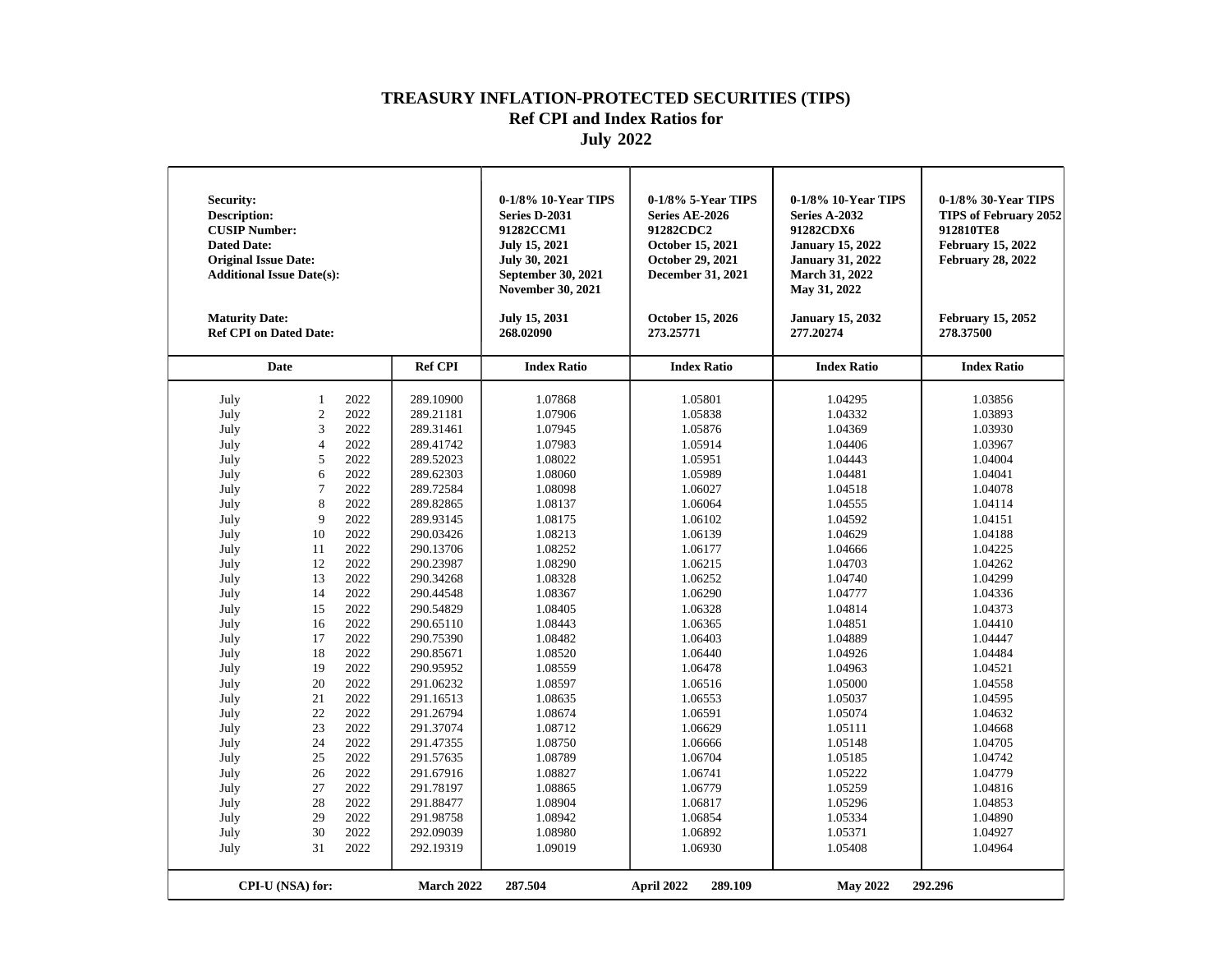| Security:<br><b>Description:</b><br><b>CUSIP Number:</b><br><b>Dated Date:</b><br><b>Original Issue Date:</b><br><b>Additional Issue Date(s):</b><br><b>Maturity Date:</b><br><b>Ref CPI on Dated Date:</b>                                          |                                                                                                                                                                                                                                 |                                                                                                                                                                                                                                                      |                                                                                                                                                                                                                                                                                                                                                                                                                 | 0-1/8% 10-Year TIPS<br>Series D-2031<br>91282CCM1<br><b>July 15, 2021</b><br>July 30, 2021<br>September 30, 2021<br><b>November 30, 2021</b><br>July 15, 2031<br>268.02090                                                                                                                                                                        | 0-1/8% 5-Year TIPS<br>Series AE-2026<br>91282CDC2<br>October 15, 2021<br>October 29, 2021<br><b>December 31, 2021</b><br>October 15, 2026<br>273.25771                                                                                                                                                                                            | 0-1/8% 10-Year TIPS<br>Series A-2032<br>91282CDX6<br><b>January 15, 2022</b><br><b>January 31, 2022</b><br><b>March 31, 2022</b><br>May 31, 2022<br><b>January 15, 2032</b><br>277.20274                                                                                                                                                          | 0-1/8% 30-Year TIPS<br><b>TIPS of February 2052</b><br>912810TE8<br><b>February 15, 2022</b><br><b>February 28, 2022</b><br><b>February 15, 2052</b><br>278.37500                                                                                                                                                                                 |
|------------------------------------------------------------------------------------------------------------------------------------------------------------------------------------------------------------------------------------------------------|---------------------------------------------------------------------------------------------------------------------------------------------------------------------------------------------------------------------------------|------------------------------------------------------------------------------------------------------------------------------------------------------------------------------------------------------------------------------------------------------|-----------------------------------------------------------------------------------------------------------------------------------------------------------------------------------------------------------------------------------------------------------------------------------------------------------------------------------------------------------------------------------------------------------------|---------------------------------------------------------------------------------------------------------------------------------------------------------------------------------------------------------------------------------------------------------------------------------------------------------------------------------------------------|---------------------------------------------------------------------------------------------------------------------------------------------------------------------------------------------------------------------------------------------------------------------------------------------------------------------------------------------------|---------------------------------------------------------------------------------------------------------------------------------------------------------------------------------------------------------------------------------------------------------------------------------------------------------------------------------------------------|---------------------------------------------------------------------------------------------------------------------------------------------------------------------------------------------------------------------------------------------------------------------------------------------------------------------------------------------------|
|                                                                                                                                                                                                                                                      | Date                                                                                                                                                                                                                            |                                                                                                                                                                                                                                                      | <b>Ref CPI</b>                                                                                                                                                                                                                                                                                                                                                                                                  | <b>Index Ratio</b>                                                                                                                                                                                                                                                                                                                                | <b>Index Ratio</b>                                                                                                                                                                                                                                                                                                                                | <b>Index Ratio</b>                                                                                                                                                                                                                                                                                                                                | <b>Index Ratio</b>                                                                                                                                                                                                                                                                                                                                |
| July<br>July<br>July<br>July<br>July<br>July<br>July<br>July<br>July<br>July<br>July<br>July<br>July<br>July<br>July<br>July<br>July<br>July<br>July<br>July<br>July<br>July<br>July<br>July<br>July<br>July<br>July<br>July<br>July<br>July<br>July | $\mathbf{1}$<br>$\overline{c}$<br>3<br>$\overline{4}$<br>5<br>6<br>$\overline{7}$<br>8<br>9<br>10<br>11<br>12<br>13<br>14<br>15<br>16<br>17<br>18<br>19<br>20<br>21<br>22<br>23<br>24<br>25<br>26<br>27<br>28<br>29<br>30<br>31 | 2022<br>2022<br>2022<br>2022<br>2022<br>2022<br>2022<br>2022<br>2022<br>2022<br>2022<br>2022<br>2022<br>2022<br>2022<br>2022<br>2022<br>2022<br>2022<br>2022<br>2022<br>2022<br>2022<br>2022<br>2022<br>2022<br>2022<br>2022<br>2022<br>2022<br>2022 | 289.10900<br>289.21181<br>289.31461<br>289.41742<br>289.52023<br>289.62303<br>289.72584<br>289.82865<br>289.93145<br>290.03426<br>290.13706<br>290.23987<br>290.34268<br>290.44548<br>290.54829<br>290.65110<br>290.75390<br>290.85671<br>290.95952<br>291.06232<br>291.16513<br>291.26794<br>291.37074<br>291.47355<br>291.57635<br>291.67916<br>291.78197<br>291.88477<br>291.98758<br>292.09039<br>292.19319 | 1.07868<br>1.07906<br>1.07945<br>1.07983<br>1.08022<br>1.08060<br>1.08098<br>1.08137<br>1.08175<br>1.08213<br>1.08252<br>1.08290<br>1.08328<br>1.08367<br>1.08405<br>1.08443<br>1.08482<br>1.08520<br>1.08559<br>1.08597<br>1.08635<br>1.08674<br>1.08712<br>1.08750<br>1.08789<br>1.08827<br>1.08865<br>1.08904<br>1.08942<br>1.08980<br>1.09019 | 1.05801<br>1.05838<br>1.05876<br>1.05914<br>1.05951<br>1.05989<br>1.06027<br>1.06064<br>1.06102<br>1.06139<br>1.06177<br>1.06215<br>1.06252<br>1.06290<br>1.06328<br>1.06365<br>1.06403<br>1.06440<br>1.06478<br>1.06516<br>1.06553<br>1.06591<br>1.06629<br>1.06666<br>1.06704<br>1.06741<br>1.06779<br>1.06817<br>1.06854<br>1.06892<br>1.06930 | 1.04295<br>1.04332<br>1.04369<br>1.04406<br>1.04443<br>1.04481<br>1.04518<br>1.04555<br>1.04592<br>1.04629<br>1.04666<br>1.04703<br>1.04740<br>1.04777<br>1.04814<br>1.04851<br>1.04889<br>1.04926<br>1.04963<br>1.05000<br>1.05037<br>1.05074<br>1.05111<br>1.05148<br>1.05185<br>1.05222<br>1.05259<br>1.05296<br>1.05334<br>1.05371<br>1.05408 | 1.03856<br>1.03893<br>1.03930<br>1.03967<br>1.04004<br>1.04041<br>1.04078<br>1.04114<br>1.04151<br>1.04188<br>1.04225<br>1.04262<br>1.04299<br>1.04336<br>1.04373<br>1.04410<br>1.04447<br>1.04484<br>1.04521<br>1.04558<br>1.04595<br>1.04632<br>1.04668<br>1.04705<br>1.04742<br>1.04779<br>1.04816<br>1.04853<br>1.04890<br>1.04927<br>1.04964 |
|                                                                                                                                                                                                                                                      | CPI-U (NSA) for:                                                                                                                                                                                                                |                                                                                                                                                                                                                                                      | March 2022                                                                                                                                                                                                                                                                                                                                                                                                      | 287.504                                                                                                                                                                                                                                                                                                                                           | April 2022<br>289.109                                                                                                                                                                                                                                                                                                                             | <b>May 2022</b>                                                                                                                                                                                                                                                                                                                                   | 292.296                                                                                                                                                                                                                                                                                                                                           |